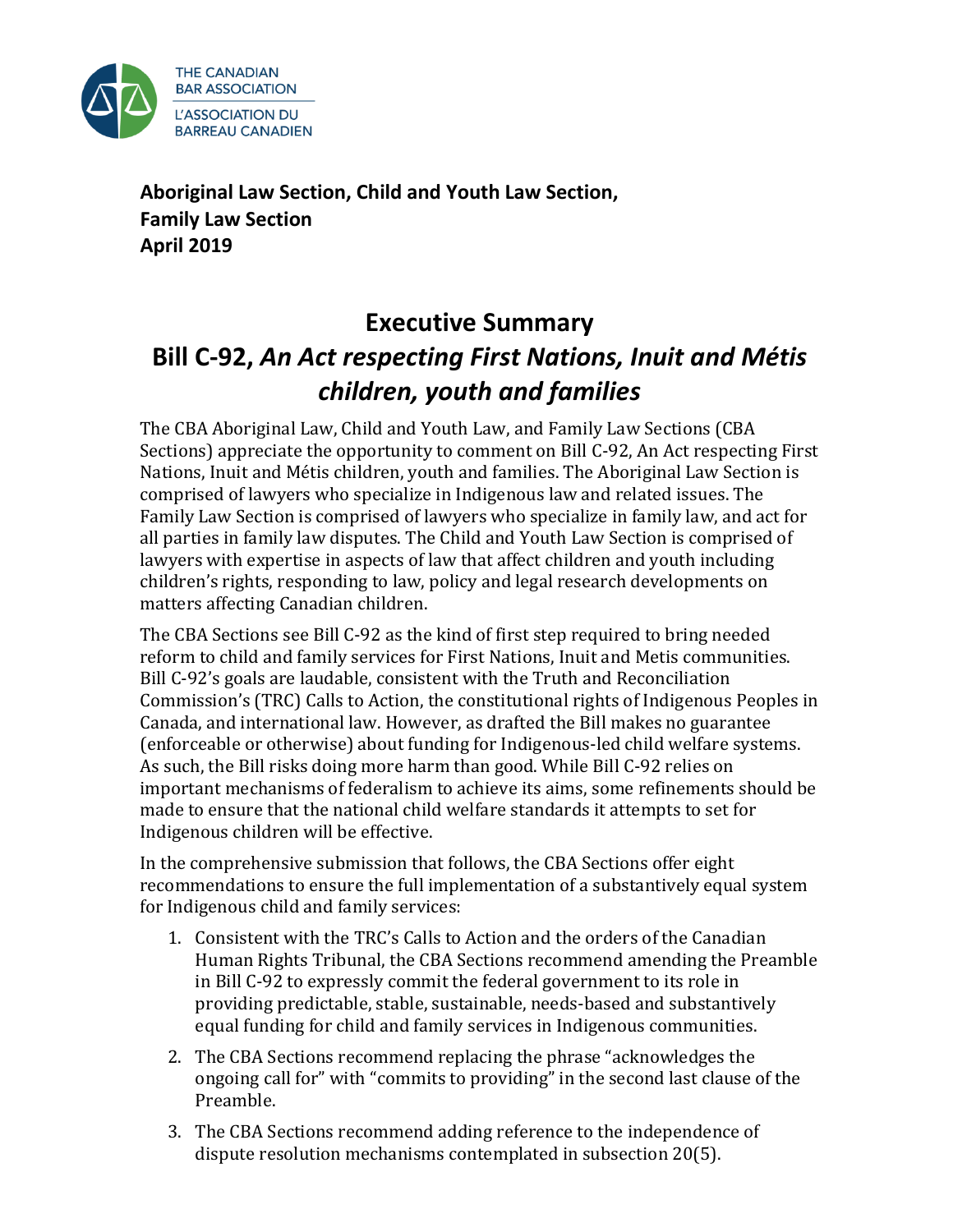

**Aboriginal Law Section, Child and Youth Law Section, Family Law Section April 2019**

# **Executive Summary Bill C-92,** *An Act respecting First Nations, Inuit and Métis children, youth and families*

The CBA Aboriginal Law, Child and Youth Law, and Family Law Sections (CBA Sections) appreciate the opportunity to comment on Bill C-92, An Act respecting First Nations, Inuit and Métis children, youth and families. The Aboriginal Law Section is comprised of lawyers who specialize in Indigenous law and related issues. The Family Law Section is comprised of lawyers who specialize in family law, and act for all parties in family law disputes. The Child and Youth Law Section is comprised of lawyers with expertise in aspects of law that affect children and youth including children's rights, responding to law, policy and legal research developments on matters affecting Canadian children.

The CBA Sections see Bill C-92 as the kind of first step required to bring needed reform to child and family services for First Nations, Inuit and Metis communities. Bill C-92's goals are laudable, consistent with the Truth and Reconciliation Commission's (TRC) Calls to Action, the constitutional rights of Indigenous Peoples in Canada, and international law. However, as drafted the Bill makes no guarantee (enforceable or otherwise) about funding for Indigenous-led child welfare systems. As such, the Bill risks doing more harm than good. While Bill C-92 relies on important mechanisms of federalism to achieve its aims, some refinements should be made to ensure that the national child welfare standards it attempts to set for Indigenous children will be effective.

In the comprehensive submission that follows, the CBA Sections offer eight recommendations to ensure the full implementation of a substantively equal system for Indigenous child and family services:

- 1. Consistent with the TRC's Calls to Action and the orders of the Canadian Human Rights Tribunal, the CBA Sections recommend amending the Preamble in Bill C-92 to expressly commit the federal government to its role in providing predictable, stable, sustainable, needs-based and substantively equal funding for child and family services in Indigenous communities.
- 2. The CBA Sections recommend replacing the phrase "acknowledges the ongoing call for" with "commits to providing" in the second last clause of the Preamble.
- 3. The CBA Sections recommend adding reference to the independence of dispute resolution mechanisms contemplated in subsection 20(5).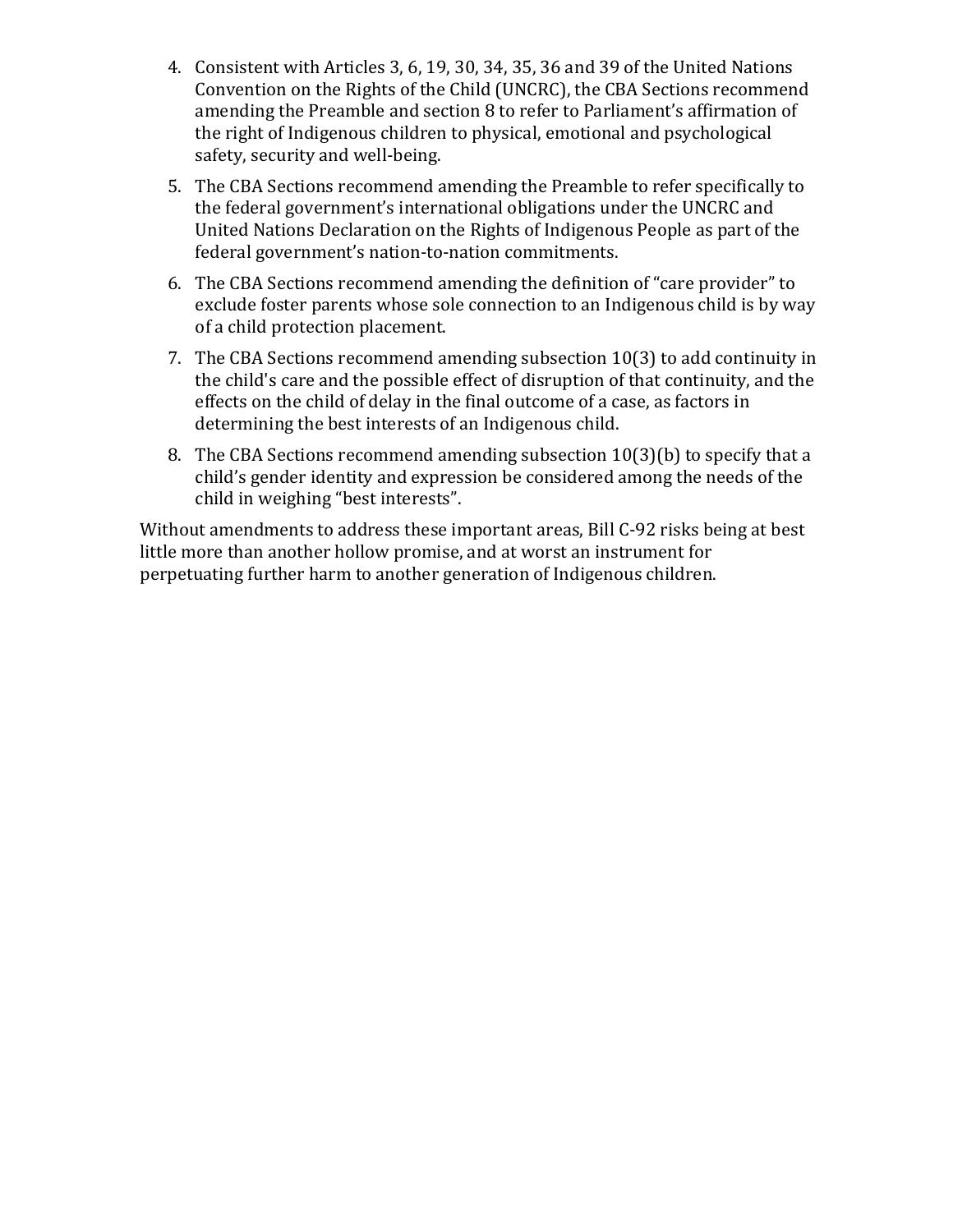- 4. Consistent with Articles 3, 6, 19, 30, 34, 35, 36 and 39 of the United Nations Convention on the Rights of the Child (UNCRC), the CBA Sections recommend amending the Preamble and section 8 to refer to Parliament's affirmation of the right of Indigenous children to physical, emotional and psychological safety, security and well-being.
- 5. The CBA Sections recommend amending the Preamble to refer specifically to the federal government's international obligations under the UNCRC and United Nations Declaration on the Rights of Indigenous People as part of the federal government's nation-to-nation commitments.
- 6. The CBA Sections recommend amending the definition of "care provider" to exclude foster parents whose sole connection to an Indigenous child is by way of a child protection placement.
- 7. The CBA Sections recommend amending subsection 10(3) to add continuity in the child's care and the possible effect of disruption of that continuity, and the effects on the child of delay in the final outcome of a case, as factors in determining the best interests of an Indigenous child.
- 8. The CBA Sections recommend amending subsection 10(3)(b) to specify that a child's gender identity and expression be considered among the needs of the child in weighing "best interests".

Without amendments to address these important areas, Bill C-92 risks being at best little more than another hollow promise, and at worst an instrument for perpetuating further harm to another generation of Indigenous children.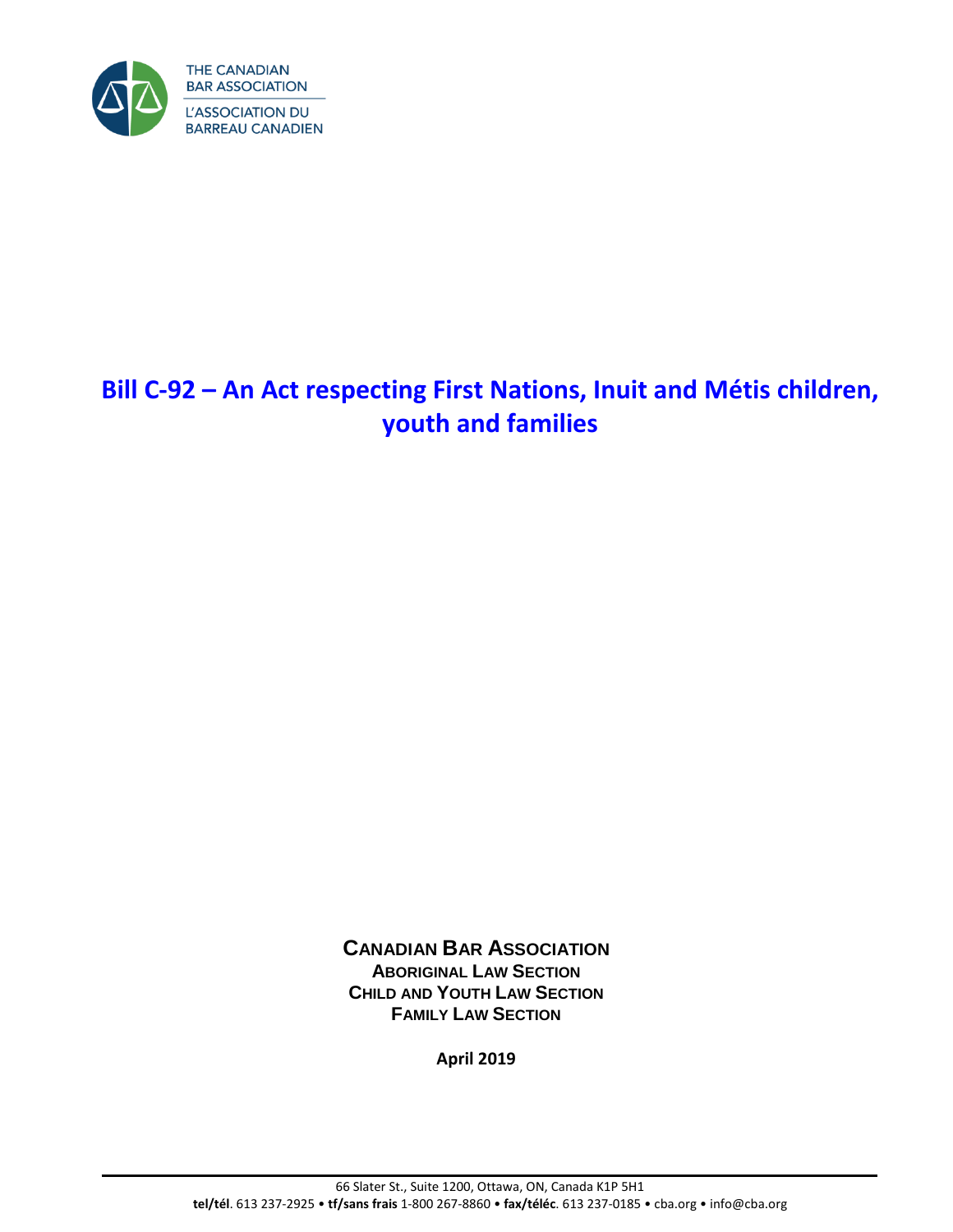

# **Bill C-92 – An Act respecting First Nations, Inuit and Métis children, youth and families**

**CANADIAN BAR ASSOCIATION ABORIGINAL LAW SECTION CHILD AND YOUTH LAW SECTION FAMILY LAW SECTION**

**April 2019**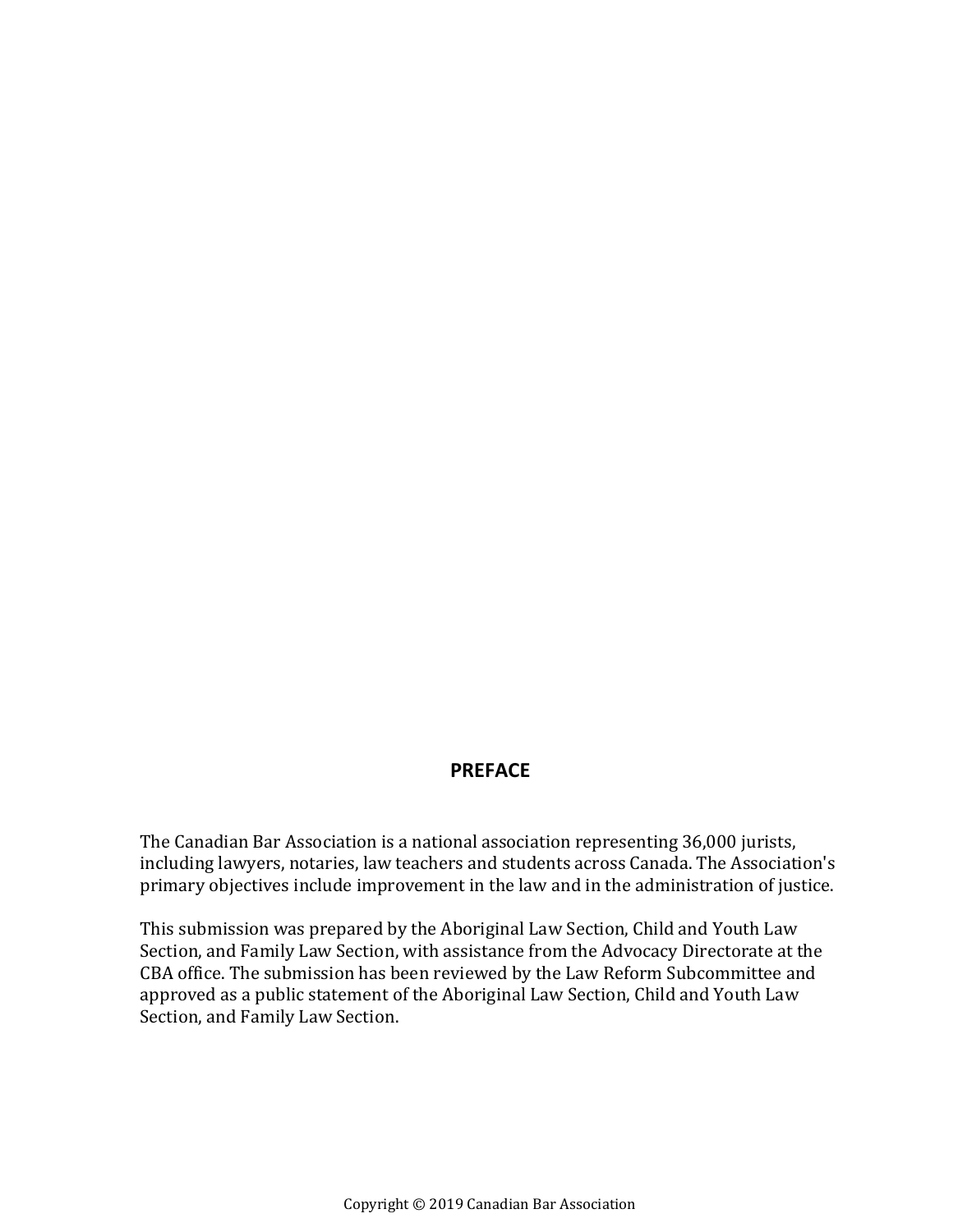## **PREFACE**

The Canadian Bar Association is a national association representing 36,000 jurists, including lawyers, notaries, law teachers and students across Canada. The Association's primary objectives include improvement in the law and in the administration of justice.

This submission was prepared by the Aboriginal Law Section, Child and Youth Law Section, and Family Law Section, with assistance from the Advocacy Directorate at the CBA office. The submission has been reviewed by the Law Reform Subcommittee and approved as a public statement of the Aboriginal Law Section, Child and Youth Law Section, and Family Law Section.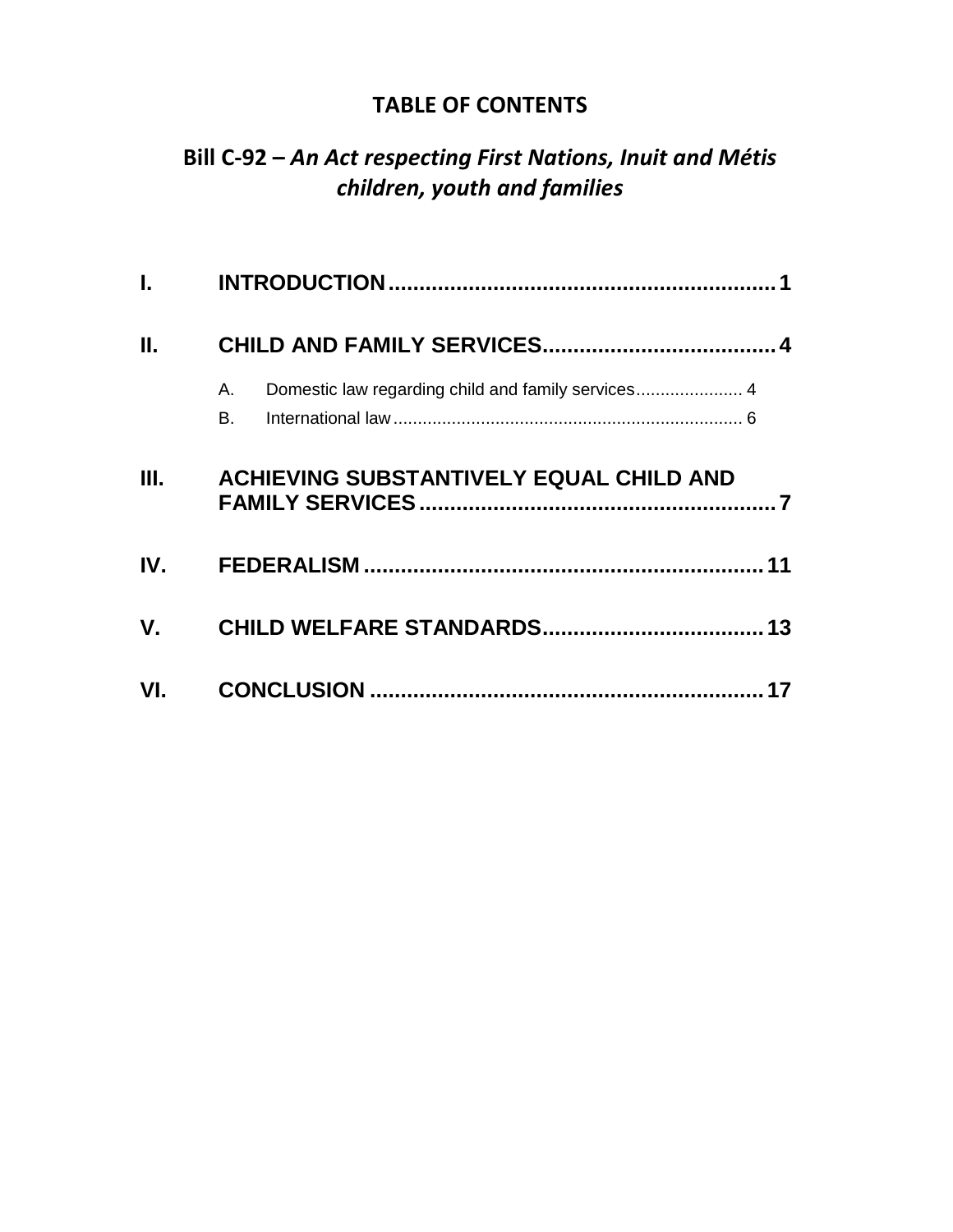## **TABLE OF CONTENTS**

## **Bill C-92 –** *An Act respecting First Nations, Inuit and Métis children, youth and families*

| L. Contractor |                                                                |  |
|---------------|----------------------------------------------------------------|--|
| Ш.            |                                                                |  |
|               | Domestic law regarding child and family services 4<br>Α.<br>В. |  |
| <b>III.</b>   | <b>ACHIEVING SUBSTANTIVELY EQUAL CHILD AND</b>                 |  |
| $IV_{-}$      |                                                                |  |
| $V_{\cdot}$   |                                                                |  |
| VI.           |                                                                |  |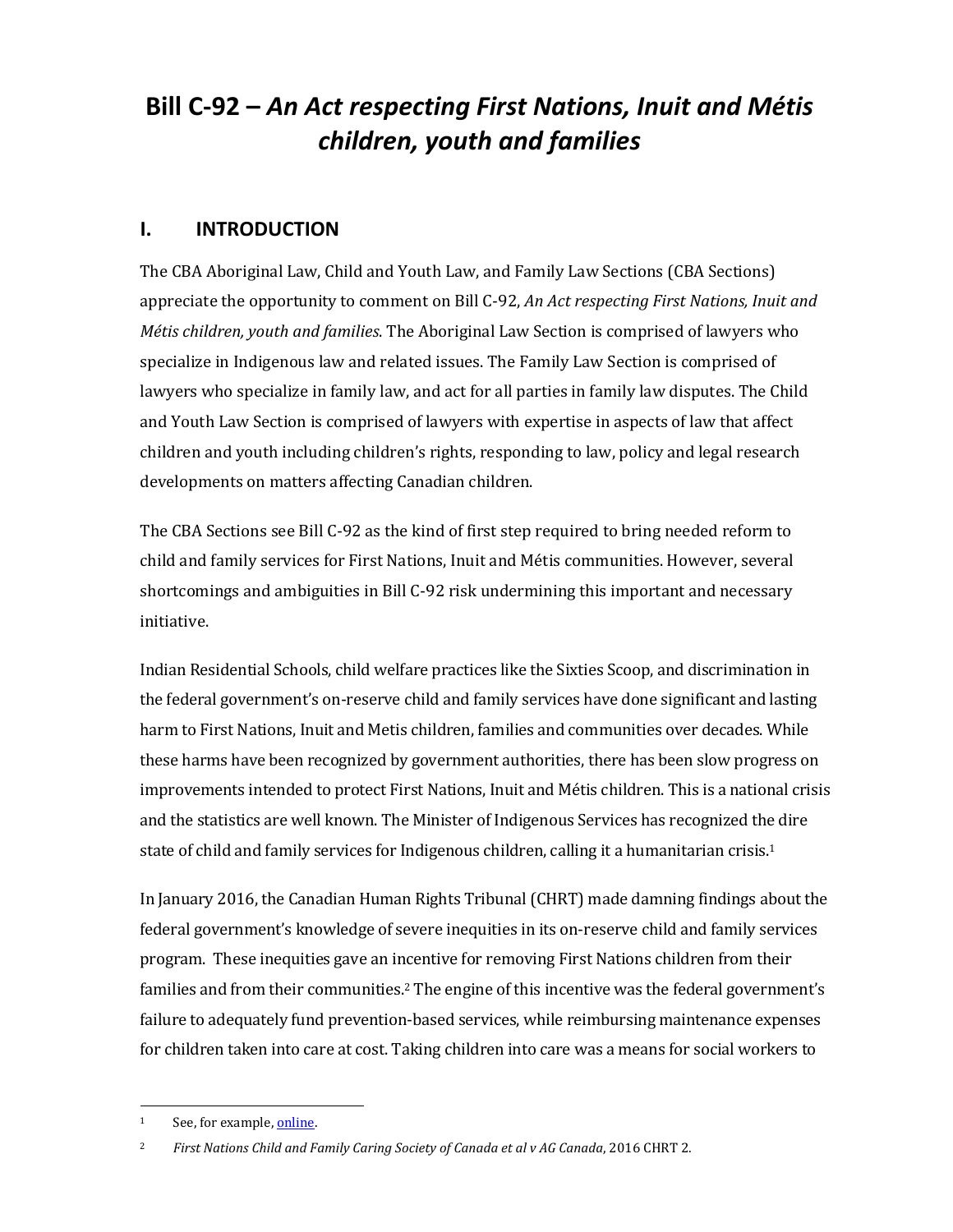# **Bill C-92 –** *An Act respecting First Nations, Inuit and Métis children, youth and families*

## <span id="page-6-0"></span>**I. INTRODUCTION**

The CBA Aboriginal Law, Child and Youth Law, and Family Law Sections (CBA Sections) appreciate the opportunity to comment on Bill C-92, *An Act respecting First Nations, Inuit and Métis children, youth and families*. The Aboriginal Law Section is comprised of lawyers who specialize in Indigenous law and related issues. The Family Law Section is comprised of lawyers who specialize in family law, and act for all parties in family law disputes. The Child and Youth Law Section is comprised of lawyers with expertise in aspects of law that affect children and youth including children's rights, responding to law, policy and legal research developments on matters affecting Canadian children.

The CBA Sections see Bill C-92 as the kind of first step required to bring needed reform to child and family services for First Nations, Inuit and Métis communities. However, several shortcomings and ambiguities in Bill C-92 risk undermining this important and necessary initiative.

Indian Residential Schools, child welfare practices like the Sixties Scoop, and discrimination in the federal government's on-reserve child and family services have done significant and lasting harm to First Nations, Inuit and Metis children, families and communities over decades. While these harms have been recognized by government authorities, there has been slow progress on improvements intended to protect First Nations, Inuit and Métis children. This is a national crisis and the statistics are well known. The Minister of Indigenous Services has recognized the dire state of child and family services for Indigenous children, calling it a humanitarian crisis.<sup>1</sup>

In January 2016, the Canadian Human Rights Tribunal (CHRT) made damning findings about the federal government's knowledge of severe inequities in its on-reserve child and family services program. These inequities gave an incentive for removing First Nations children from their families and from their communities.<sup>2</sup> The engine of this incentive was the federal government's failure to adequately fund prevention-based services, while reimbursing maintenance expenses for children taken into care at cost. Taking children into care was a means for social workers to

 $\overline{a}$ 

<sup>1</sup> See, for example[, online.](https://www.canada.ca/en/indigenous-services-canada/news/2017/12/speech_for_jane_philpottministerofindigenousservicesattheassembl.html)

<sup>2</sup> *First Nations Child and Family Caring Society of Canada et al v AG Canada*, 2016 CHRT 2.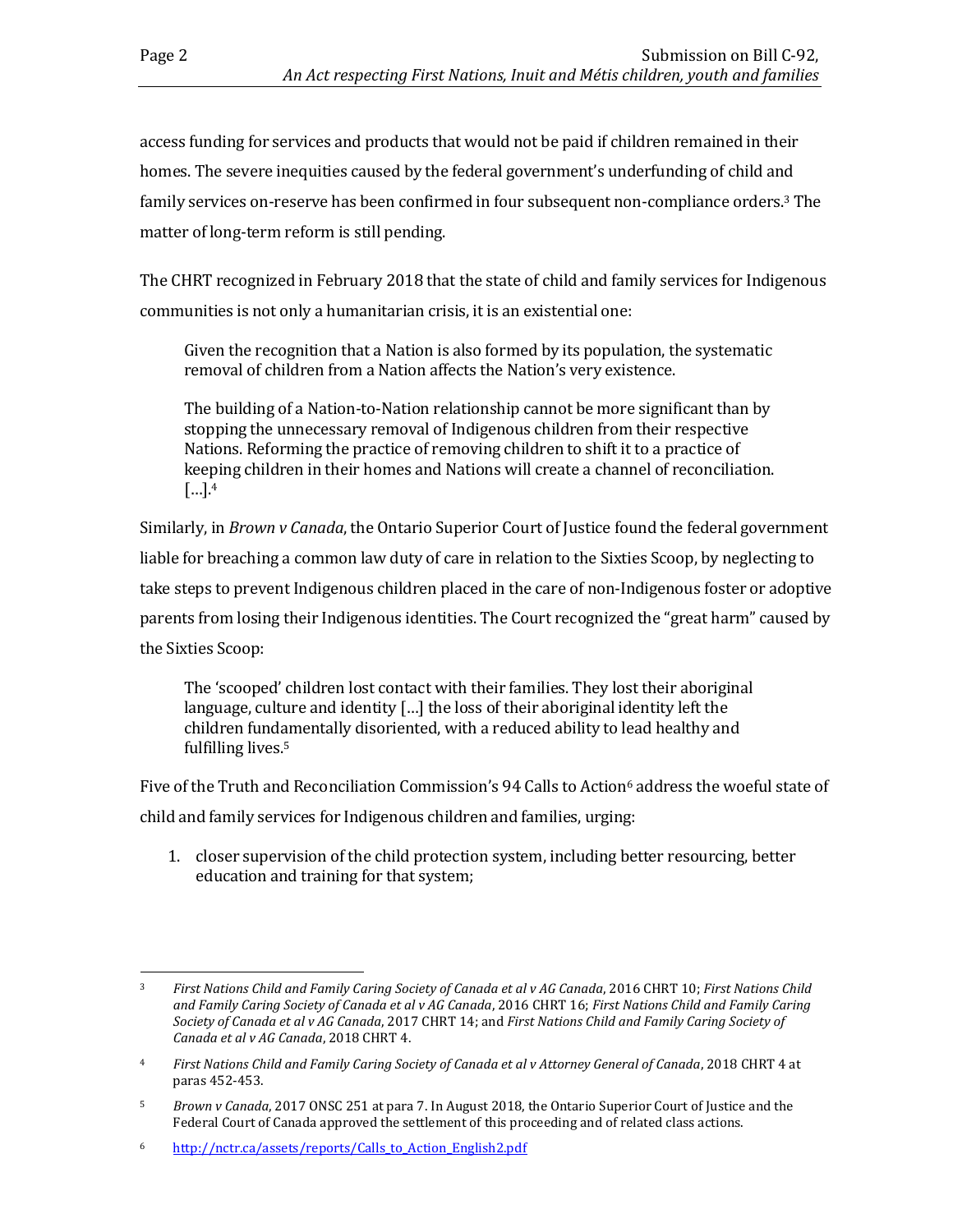access funding for services and products that would not be paid if children remained in their homes. The severe inequities caused by the federal government's underfunding of child and family services on-reserve has been confirmed in four subsequent non-compliance orders.<sup>3</sup> The matter of long-term reform is still pending.

The CHRT recognized in February 2018 that the state of child and family services for Indigenous communities is not only a humanitarian crisis, it is an existential one:

Given the recognition that a Nation is also formed by its population, the systematic removal of children from a Nation affects the Nation's very existence.

The building of a Nation-to-Nation relationship cannot be more significant than by stopping the unnecessary removal of Indigenous children from their respective Nations. Reforming the practice of removing children to shift it to a practice of keeping children in their homes and Nations will create a channel of reconciliation. […]. 4

Similarly, in *Brown v Canada*, the Ontario Superior Court of Justice found the federal government liable for breaching a common law duty of care in relation to the Sixties Scoop, by neglecting to take steps to prevent Indigenous children placed in the care of non-Indigenous foster or adoptive parents from losing their Indigenous identities. The Court recognized the "great harm" caused by the Sixties Scoop:

The 'scooped' children lost contact with their families. They lost their aboriginal language, culture and identity […] the loss of their aboriginal identity left the children fundamentally disoriented, with a reduced ability to lead healthy and fulfilling lives.<sup>5</sup>

Five of the Truth and Reconciliation Commission's 94 Calls to Action<sup>6</sup> address the woeful state of child and family services for Indigenous children and families, urging:

1. closer supervision of the child protection system, including better resourcing, better education and training for that system;

 $\overline{a}$ <sup>3</sup> *First Nations Child and Family Caring Society of Canada et al v AG Canada*, 2016 CHRT 10; *First Nations Child and Family Caring Society of Canada et al v AG Canada*, 2016 CHRT 16; *First Nations Child and Family Caring Society of Canada et al v AG Canada*, 2017 CHRT 14; and *First Nations Child and Family Caring Society of Canada et al v AG Canada*, 2018 CHRT 4.

<sup>4</sup> *First Nations Child and Family Caring Society of Canada et al v Attorney General of Canada*, 2018 CHRT 4 at paras 452-453.

<sup>5</sup> *Brown v Canada*, 2017 ONSC 251 at para 7. In August 2018, the Ontario Superior Court of Justice and the Federal Court of Canada approved the settlement of this proceeding and of related class actions.

<sup>6</sup> [http://nctr.ca/assets/reports/Calls\\_to\\_Action\\_English2.pdf](http://nctr.ca/assets/reports/Calls_to_Action_English2.pdf)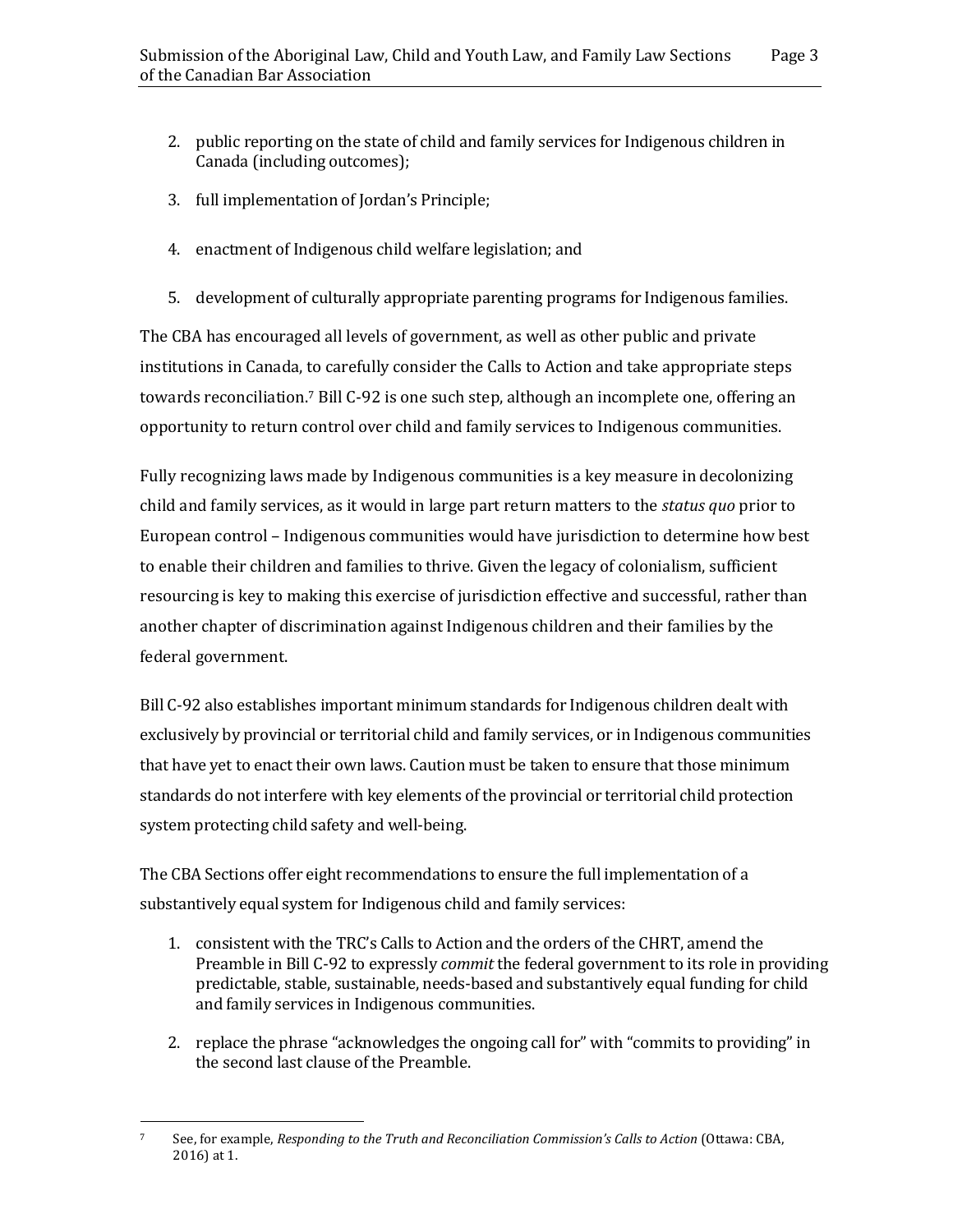- 2. public reporting on the state of child and family services for Indigenous children in Canada (including outcomes);
- 3. full implementation of Jordan's Principle;
- 4. enactment of Indigenous child welfare legislation; and
- 5. development of culturally appropriate parenting programs for Indigenous families.

The CBA has encouraged all levels of government, as well as other public and private institutions in Canada, to carefully consider the Calls to Action and take appropriate steps towards reconciliation.<sup>7</sup> Bill C-92 is one such step, although an incomplete one, offering an opportunity to return control over child and family services to Indigenous communities.

Fully recognizing laws made by Indigenous communities is a key measure in decolonizing child and family services, as it would in large part return matters to the *status quo* prior to European control – Indigenous communities would have jurisdiction to determine how best to enable their children and families to thrive. Given the legacy of colonialism, sufficient resourcing is key to making this exercise of jurisdiction effective and successful, rather than another chapter of discrimination against Indigenous children and their families by the federal government.

Bill C-92 also establishes important minimum standards for Indigenous children dealt with exclusively by provincial or territorial child and family services, or in Indigenous communities that have yet to enact their own laws. Caution must be taken to ensure that those minimum standards do not interfere with key elements of the provincial or territorial child protection system protecting child safety and well-being.

The CBA Sections offer eight recommendations to ensure the full implementation of a substantively equal system for Indigenous child and family services:

- 1. consistent with the TRC's Calls to Action and the orders of the CHRT, amend the Preamble in Bill C-92 to expressly *commit* the federal government to its role in providing predictable, stable, sustainable, needs-based and substantively equal funding for child and family services in Indigenous communities.
- 2. replace the phrase "acknowledges the ongoing call for" with "commits to providing" in the second last clause of the Preamble.

 $\overline{a}$ <sup>7</sup> See, for example, *Responding to the Truth and Reconciliation Commission's Calls to Action* (Ottawa: CBA, 2016) at 1.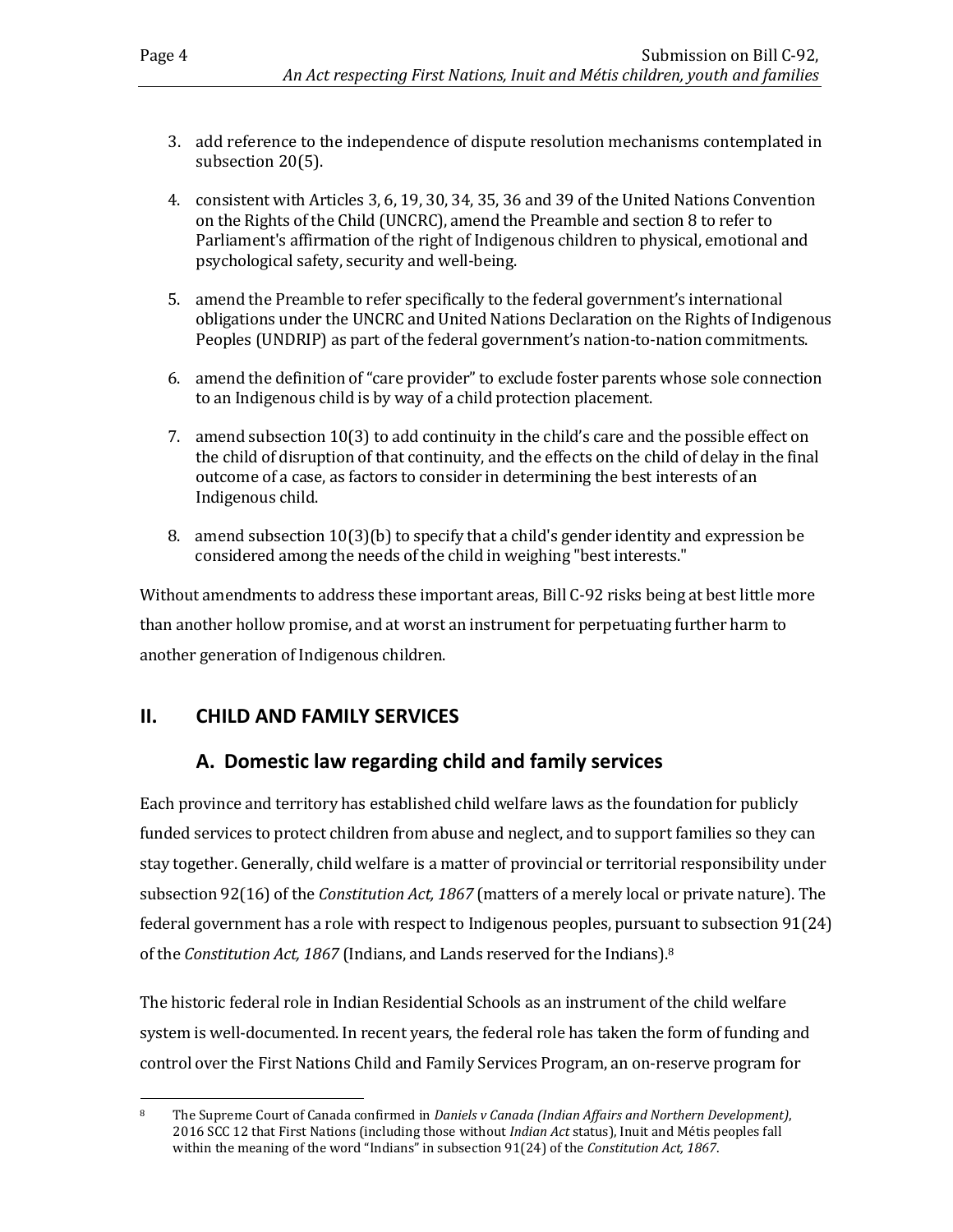- 3. add reference to the independence of dispute resolution mechanisms contemplated in subsection 20(5).
- 4. consistent with Articles 3, 6, 19, 30, 34, 35, 36 and 39 of the United Nations Convention on the Rights of the Child (UNCRC), amend the Preamble and section 8 to refer to Parliament's affirmation of the right of Indigenous children to physical, emotional and psychological safety, security and well-being.
- 5. amend the Preamble to refer specifically to the federal government's international obligations under the UNCRC and United Nations Declaration on the Rights of Indigenous Peoples (UNDRIP) as part of the federal government's nation-to-nation commitments.
- 6. amend the definition of "care provider" to exclude foster parents whose sole connection to an Indigenous child is by way of a child protection placement.
- 7. amend subsection 10(3) to add continuity in the child's care and the possible effect on the child of disruption of that continuity, and the effects on the child of delay in the final outcome of a case, as factors to consider in determining the best interests of an Indigenous child.
- 8. amend subsection 10(3)(b) to specify that a child's gender identity and expression be considered among the needs of the child in weighing "best interests."

Without amendments to address these important areas, Bill C-92 risks being at best little more than another hollow promise, and at worst an instrument for perpetuating further harm to another generation of Indigenous children.

## <span id="page-9-1"></span><span id="page-9-0"></span>**II. CHILD AND FAMILY SERVICES**

## **A. Domestic law regarding child and family services**

Each province and territory has established child welfare laws as the foundation for publicly funded services to protect children from abuse and neglect, and to support families so they can stay together. Generally, child welfare is a matter of provincial or territorial responsibility under subsection 92(16) of the *Constitution Act, 1867* (matters of a merely local or private nature). The federal government has a role with respect to Indigenous peoples, pursuant to subsection 91(24) of the *Constitution Act, 1867* (Indians, and Lands reserved for the Indians).<sup>8</sup>

The historic federal role in Indian Residential Schools as an instrument of the child welfare system is well-documented. In recent years, the federal role has taken the form of funding and control over the First Nations Child and Family Services Program, an on-reserve program for

 $\overline{a}$ <sup>8</sup> The Supreme Court of Canada confirmed in *Daniels v Canada (Indian Affairs and Northern Development)*, 2016 SCC 12 that First Nations (including those without *Indian Act* status), Inuit and Métis peoples fall within the meaning of the word "Indians" in subsection 91(24) of the *Constitution Act, 1867*.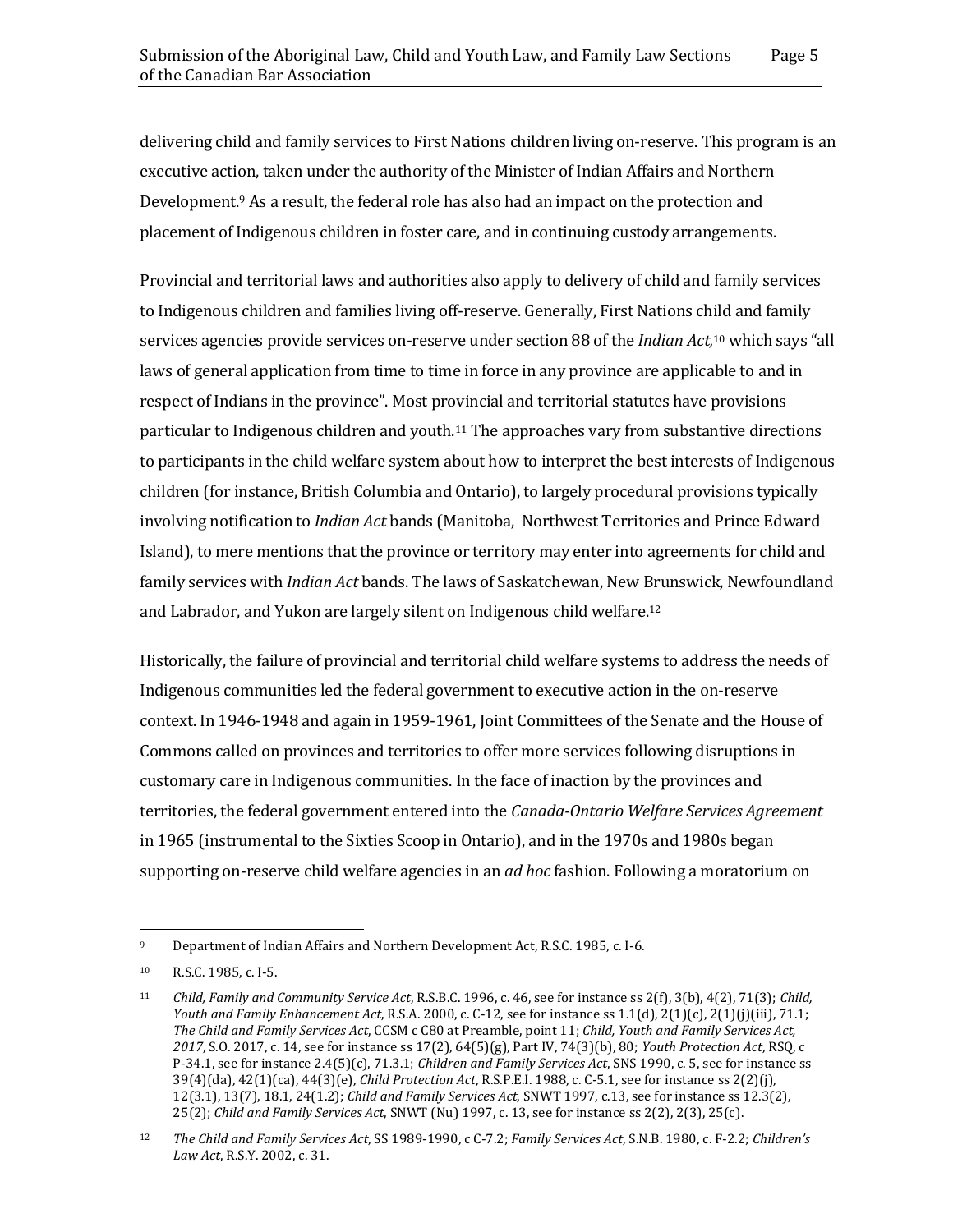delivering child and family services to First Nations children living on-reserve. This program is an executive action, taken under the authority of the Minister of Indian Affairs and Northern Development. <sup>9</sup> As a result, the federal role has also had an impact on the protection and placement of Indigenous children in foster care, and in continuing custody arrangements.

Provincial and territorial laws and authorities also apply to delivery of child and family services to Indigenous children and families living off-reserve. Generally, First Nations child and family services agencies provide services on-reserve under section 88 of the *Indian Act,* <sup>10</sup> which says "all laws of general application from time to time in force in any province are applicable to and in respect of Indians in the province". Most provincial and territorial statutes have provisions particular to Indigenous children and youth.<sup>11</sup> The approaches vary from substantive directions to participants in the child welfare system about how to interpret the best interests of Indigenous children (for instance, British Columbia and Ontario), to largely procedural provisions typically involving notification to *Indian Act* bands (Manitoba, Northwest Territories and Prince Edward Island), to mere mentions that the province or territory may enter into agreements for child and family services with *Indian Act* bands. The laws of Saskatchewan, New Brunswick, Newfoundland and Labrador, and Yukon are largely silent on Indigenous child welfare.<sup>12</sup>

Historically, the failure of provincial and territorial child welfare systems to address the needs of Indigenous communities led the federal government to executive action in the on-reserve context. In 1946-1948 and again in 1959-1961, Joint Committees of the Senate and the House of Commons called on provinces and territories to offer more services following disruptions in customary care in Indigenous communities. In the face of inaction by the provinces and territories, the federal government entered into the *Canada-Ontario Welfare Services Agreement* in 1965 (instrumental to the Sixties Scoop in Ontario), and in the 1970s and 1980s began supporting on-reserve child welfare agencies in an *ad hoc* fashion. Following a moratorium on

 $\overline{a}$ 

<sup>9</sup> Department of Indian Affairs and Northern Development Act, R.S.C. 1985, c. I-6.

<sup>10</sup> R.S.C. 1985, c. I-5.

<sup>11</sup> *Child, Family and Community Service Act*, R.S.B.C. 1996, c. 46, see for instance ss 2(f), 3(b), 4(2), 71(3); *Child, Youth and Family Enhancement Act*, R.S.A. 2000, c. C-12, see for instance ss 1.1(d), 2(1)(c), 2(1)(j)(iii), 71.1; *The Child and Family Services Act*, CCSM c C80 at Preamble, point 11; *Child, Youth and Family Services Act, 2017*, S.O. 2017, c. 14, see for instance ss 17(2), 64(5)(g), Part IV, 74(3)(b), 80; *Youth Protection Act*, RSQ, c P-34.1, see for instance 2.4(5)(c), 71.3.1; *Children and Family Services Act*, SNS 1990, c. 5, see for instance ss 39(4)(da), 42(1)(ca), 44(3)(e), *Child Protection Act*, R.S.P.E.I. 1988, c. C-5.1, see for instance ss 2(2)(j), 12(3.1), 13(7), 18.1, 24(1.2); *Child and Family Services Act*, SNWT 1997, c.13, see for instance ss 12.3(2), 25(2); *Child and Family Services Act*, SNWT (Nu) 1997, c. 13, see for instance ss 2(2), 2(3), 25(c).

<sup>12</sup> *The Child and Family Services Act*, SS 1989-1990, c C-7.2; *Family Services Act*, S.N.B. 1980, c. F-2.2; *Children's Law Act*, R.S.Y. 2002, c. 31.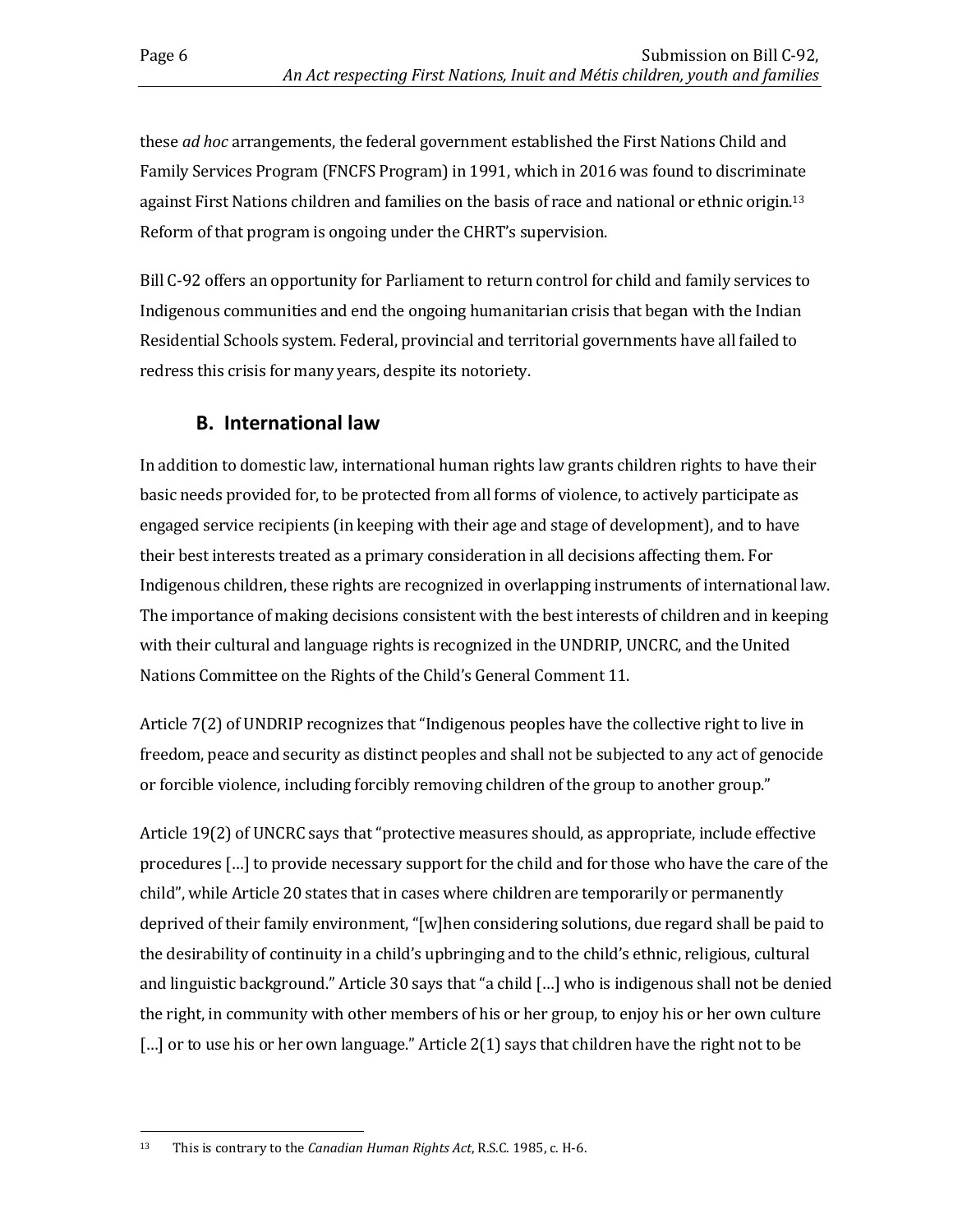these *ad hoc* arrangements, the federal government established the First Nations Child and Family Services Program (FNCFS Program) in 1991, which in 2016 was found to discriminate against First Nations children and families on the basis of race and national or ethnic origin.<sup>13</sup> Reform of that program is ongoing under the CHRT's supervision.

Bill C-92 offers an opportunity for Parliament to return control for child and family services to Indigenous communities and end the ongoing humanitarian crisis that began with the Indian Residential Schools system. Federal, provincial and territorial governments have all failed to redress this crisis for many years, despite its notoriety.

## **B. International law**

<span id="page-11-0"></span>In addition to domestic law, international human rights law grants children rights to have their basic needs provided for, to be protected from all forms of violence, to actively participate as engaged service recipients (in keeping with their age and stage of development), and to have their best interests treated as a primary consideration in all decisions affecting them. For Indigenous children, these rights are recognized in overlapping instruments of international law. The importance of making decisions consistent with the best interests of children and in keeping with their cultural and language rights is recognized in the UNDRIP, UNCRC, and the United Nations Committee on the Rights of the Child's General Comment 11.

Article 7(2) of UNDRIP recognizes that "Indigenous peoples have the collective right to live in freedom, peace and security as distinct peoples and shall not be subjected to any act of genocide or forcible violence, including forcibly removing children of the group to another group."

Article 19(2) of UNCRC says that "protective measures should, as appropriate, include effective procedures […] to provide necessary support for the child and for those who have the care of the child", while Article 20 states that in cases where children are temporarily or permanently deprived of their family environment, "[w]hen considering solutions, due regard shall be paid to the desirability of continuity in a child's upbringing and to the child's ethnic, religious, cultural and linguistic background." Article 30 says that "a child […] who is indigenous shall not be denied the right, in community with other members of his or her group, to enjoy his or her own culture [...] or to use his or her own language." Article 2(1) says that children have the right not to be

l <sup>13</sup> This is contrary to the *Canadian Human Rights Act*, R.S.C. 1985, c. H-6.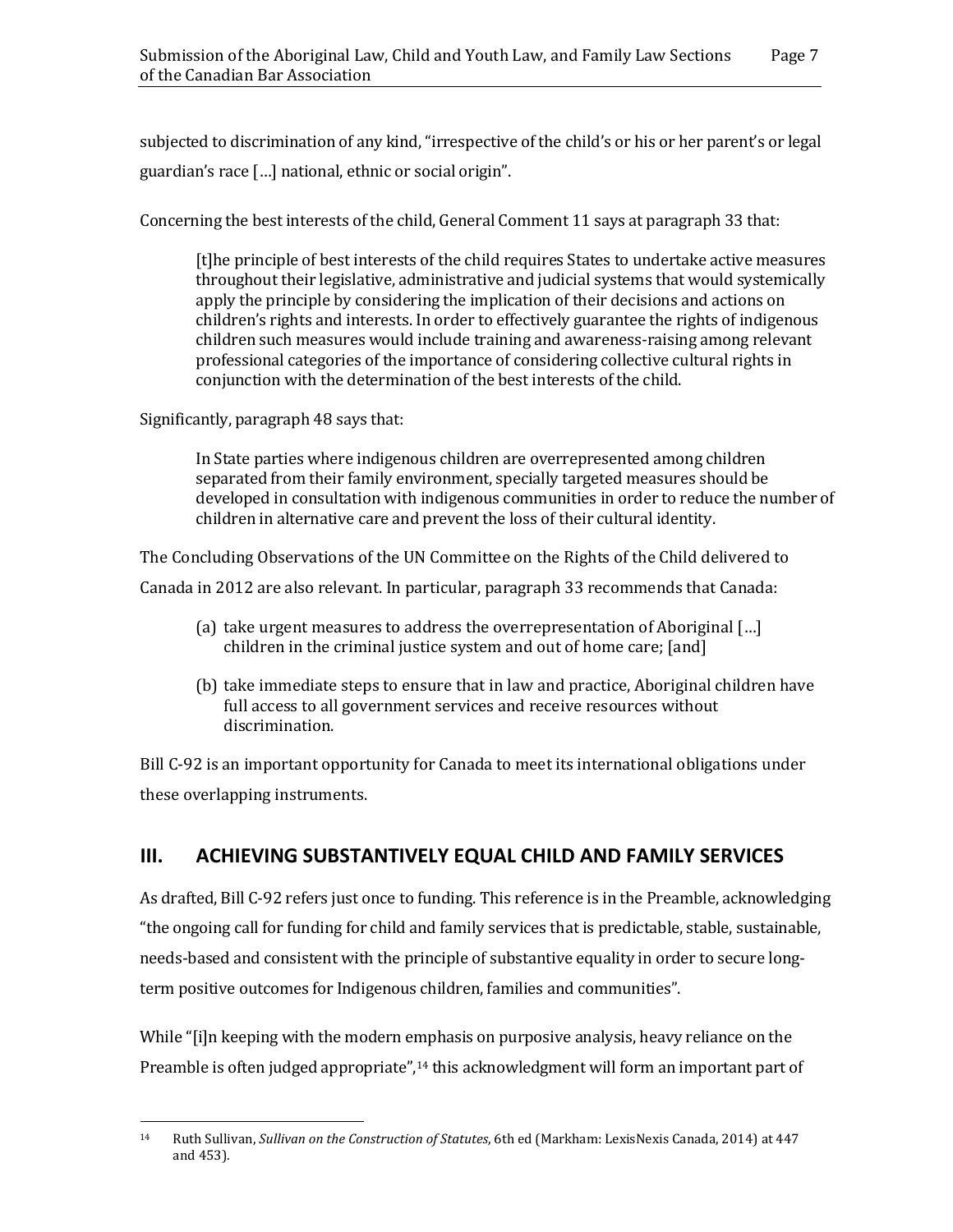subjected to discrimination of any kind, "irrespective of the child's or his or her parent's or legal guardian's race […] national, ethnic or social origin".

Concerning the best interests of the child, General Comment 11 says at paragraph 33 that:

[t]he principle of best interests of the child requires States to undertake active measures throughout their legislative, administrative and judicial systems that would systemically apply the principle by considering the implication of their decisions and actions on children's rights and interests. In order to effectively guarantee the rights of indigenous children such measures would include training and awareness-raising among relevant professional categories of the importance of considering collective cultural rights in conjunction with the determination of the best interests of the child.

Significantly, paragraph 48 says that:

 $\overline{a}$ 

In State parties where indigenous children are overrepresented among children separated from their family environment, specially targeted measures should be developed in consultation with indigenous communities in order to reduce the number of children in alternative care and prevent the loss of their cultural identity.

The Concluding Observations of the UN Committee on the Rights of the Child delivered to Canada in 2012 are also relevant. In particular, paragraph 33 recommends that Canada:

- (a) take urgent measures to address the overrepresentation of Aboriginal […] children in the criminal justice system and out of home care; [and]
- (b) take immediate steps to ensure that in law and practice, Aboriginal children have full access to all government services and receive resources without discrimination.

Bill C-92 is an important opportunity for Canada to meet its international obligations under these overlapping instruments.

## <span id="page-12-0"></span>**III. ACHIEVING SUBSTANTIVELY EQUAL CHILD AND FAMILY SERVICES**

As drafted, Bill C-92 refers just once to funding. This reference is in the Preamble, acknowledging "the ongoing call for funding for child and family services that is predictable, stable, sustainable, needs-based and consistent with the principle of substantive equality in order to secure longterm positive outcomes for Indigenous children, families and communities".

While "[i]n keeping with the modern emphasis on purposive analysis, heavy reliance on the Preamble is often judged appropriate",<sup>14</sup> this acknowledgment will form an important part of

<sup>14</sup> Ruth Sullivan, *Sullivan on the Construction of Statutes*, 6th ed (Markham: LexisNexis Canada, 2014) at 447 and 453).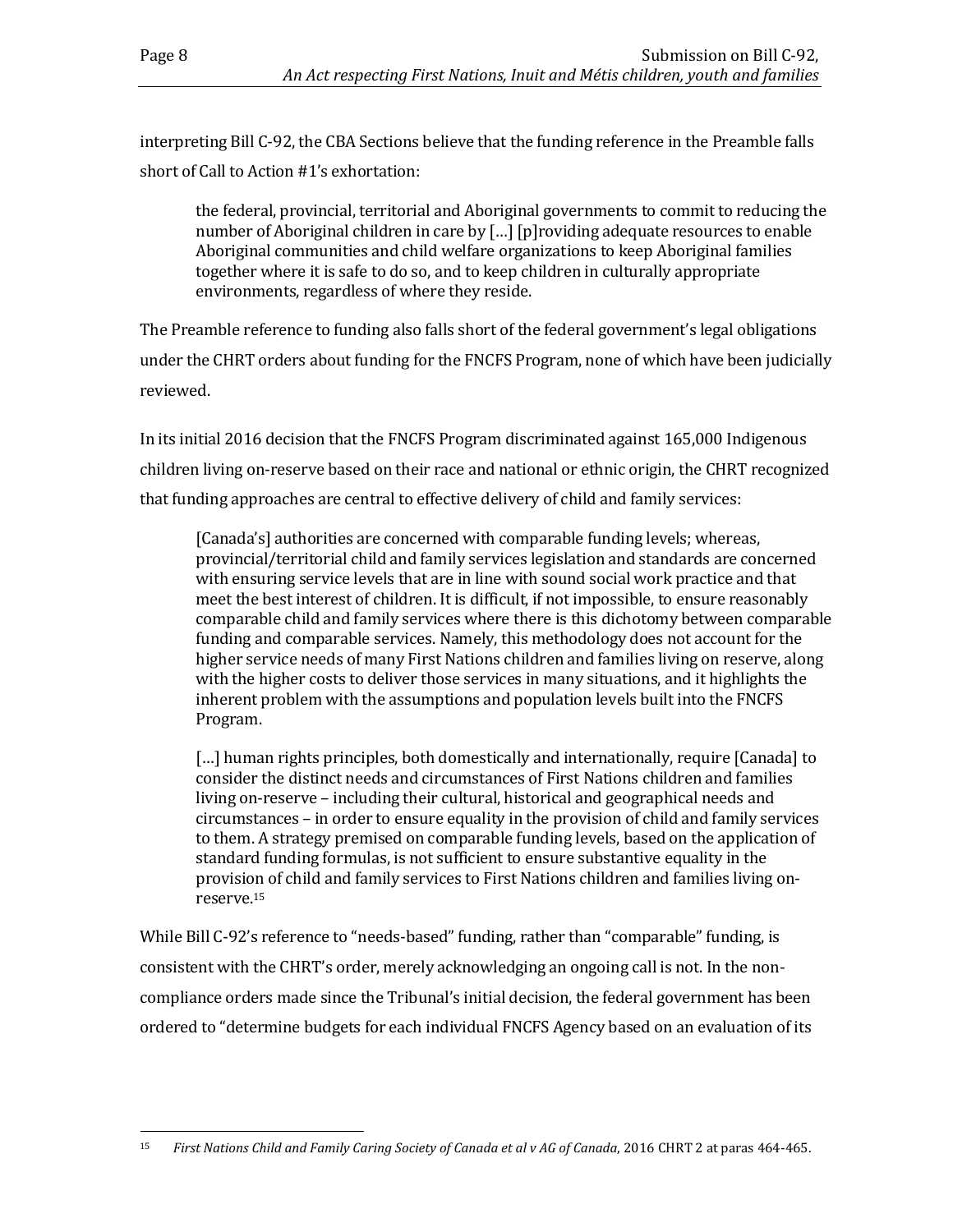interpreting Bill C-92, the CBA Sections believe that the funding reference in the Preamble falls short of Call to Action #1's exhortation:

the federal, provincial, territorial and Aboriginal governments to commit to reducing the number of Aboriginal children in care by […] [p]roviding adequate resources to enable Aboriginal communities and child welfare organizations to keep Aboriginal families together where it is safe to do so, and to keep children in culturally appropriate environments, regardless of where they reside.

The Preamble reference to funding also falls short of the federal government's legal obligations under the CHRT orders about funding for the FNCFS Program, none of which have been judicially reviewed.

In its initial 2016 decision that the FNCFS Program discriminated against 165,000 Indigenous children living on-reserve based on their race and national or ethnic origin, the CHRT recognized that funding approaches are central to effective delivery of child and family services:

[Canada's] authorities are concerned with comparable funding levels; whereas, provincial/territorial child and family services legislation and standards are concerned with ensuring service levels that are in line with sound social work practice and that meet the best interest of children. It is difficult, if not impossible, to ensure reasonably comparable child and family services where there is this dichotomy between comparable funding and comparable services. Namely, this methodology does not account for the higher service needs of many First Nations children and families living on reserve, along with the higher costs to deliver those services in many situations, and it highlights the inherent problem with the assumptions and population levels built into the FNCFS Program.

[...] human rights principles, both domestically and internationally, require [Canada] to consider the distinct needs and circumstances of First Nations children and families living on-reserve – including their cultural, historical and geographical needs and circumstances – in order to ensure equality in the provision of child and family services to them. A strategy premised on comparable funding levels, based on the application of standard funding formulas, is not sufficient to ensure substantive equality in the provision of child and family services to First Nations children and families living onreserve.<sup>15</sup>

While Bill C-92's reference to "needs-based" funding, rather than "comparable" funding, is consistent with the CHRT's order, merely acknowledging an ongoing call is not. In the noncompliance orders made since the Tribunal's initial decision, the federal government has been ordered to "determine budgets for each individual FNCFS Agency based on an evaluation of its

l <sup>15</sup> First Nations Child and Family Caring Society of Canada et al v AG of Canada, 2016 CHRT 2 at paras 464-465.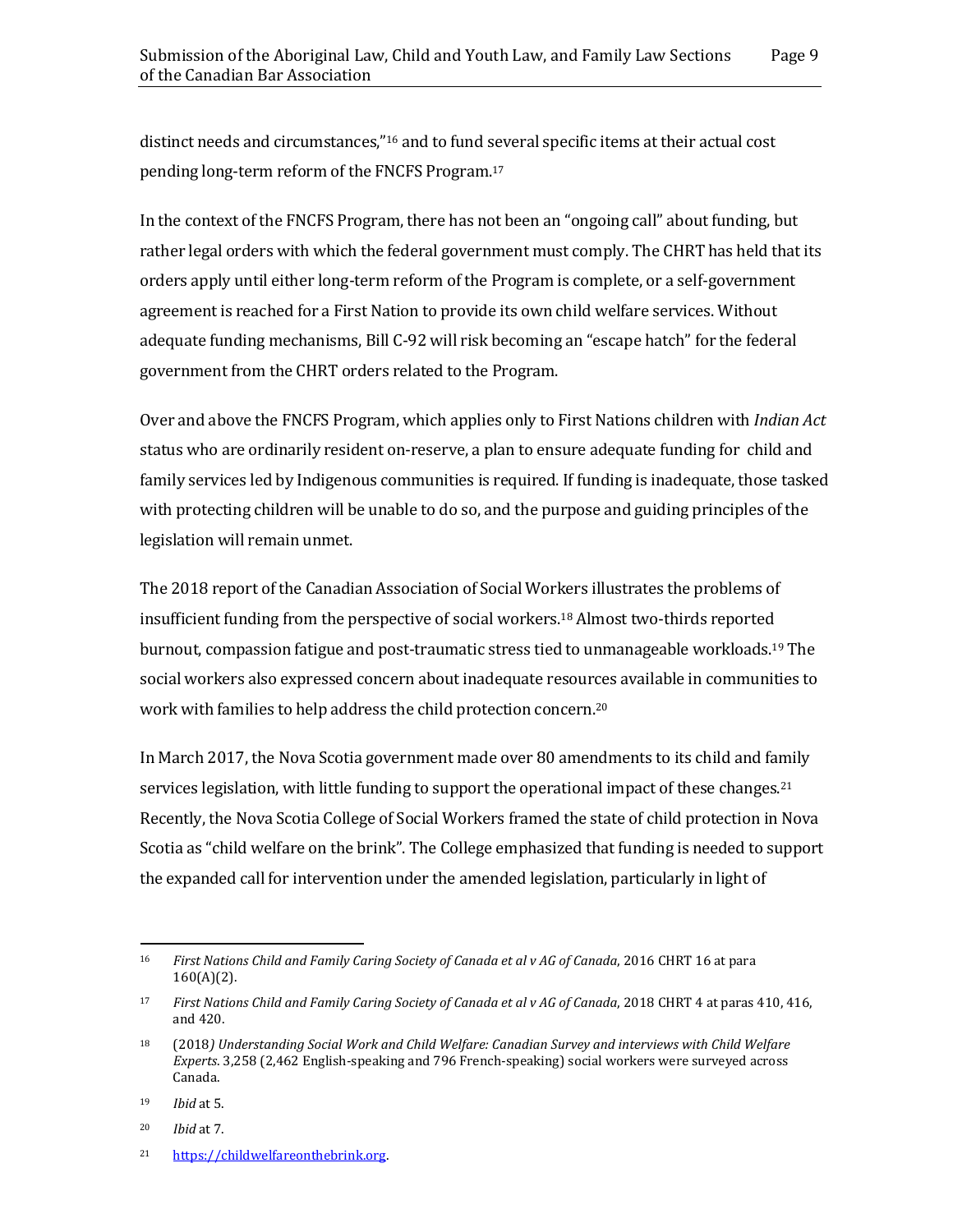distinct needs and circumstances,"<sup>16</sup> and to fund several specific items at their actual cost pending long-term reform of the FNCFS Program. 17

In the context of the FNCFS Program, there has not been an "ongoing call" about funding, but rather legal orders with which the federal government must comply. The CHRT has held that its orders apply until either long-term reform of the Program is complete, or a self-government agreement is reached for a First Nation to provide its own child welfare services. Without adequate funding mechanisms, Bill C-92 will risk becoming an "escape hatch" for the federal government from the CHRT orders related to the Program.

Over and above the FNCFS Program, which applies only to First Nations children with *Indian Act* status who are ordinarily resident on-reserve, a plan to ensure adequate funding for child and family services led by Indigenous communities is required. If funding is inadequate, those tasked with protecting children will be unable to do so, and the purpose and guiding principles of the legislation will remain unmet.

The 2018 report of the Canadian Association of Social Workers illustrates the problems of insufficient funding from the perspective of social workers.<sup>18</sup> Almost two-thirds reported burnout, compassion fatigue and post-traumatic stress tied to unmanageable workloads.<sup>19</sup> The social workers also expressed concern about inadequate resources available in communities to work with families to help address the child protection concern.<sup>20</sup>

In March 2017, the Nova Scotia government made over 80 amendments to its child and family services legislation, with little funding to support the operational impact of these changes.<sup>21</sup> Recently, the Nova Scotia College of Social Workers framed the state of child protection in Nova Scotia as "child welfare on the brink". The College emphasized that funding is needed to support the expanded call for intervention under the amended legislation, particularly in light of

l <sup>16</sup> *First Nations Child and Family Caring Society of Canada et al v AG of Canada*, 2016 CHRT 16 at para  $160(A)(2)$ .

<sup>&</sup>lt;sup>17</sup> First Nations Child and Family Caring Society of Canada et al v AG of Canada, 2018 CHRT 4 at paras 410, 416, and 420.

<sup>18</sup> (2018*) Understanding Social Work and Child Welfare: Canadian Survey and interviews with Child Welfare Experts*. 3,258 (2,462 English-speaking and 796 French-speaking) social workers were surveyed across Canada.

<sup>19</sup> *Ibid* at 5.

<sup>20</sup> *Ibid* at 7.

<sup>21</sup> [https://childwelfareonthebrink.org.](https://childwelfareonthebrink.org/)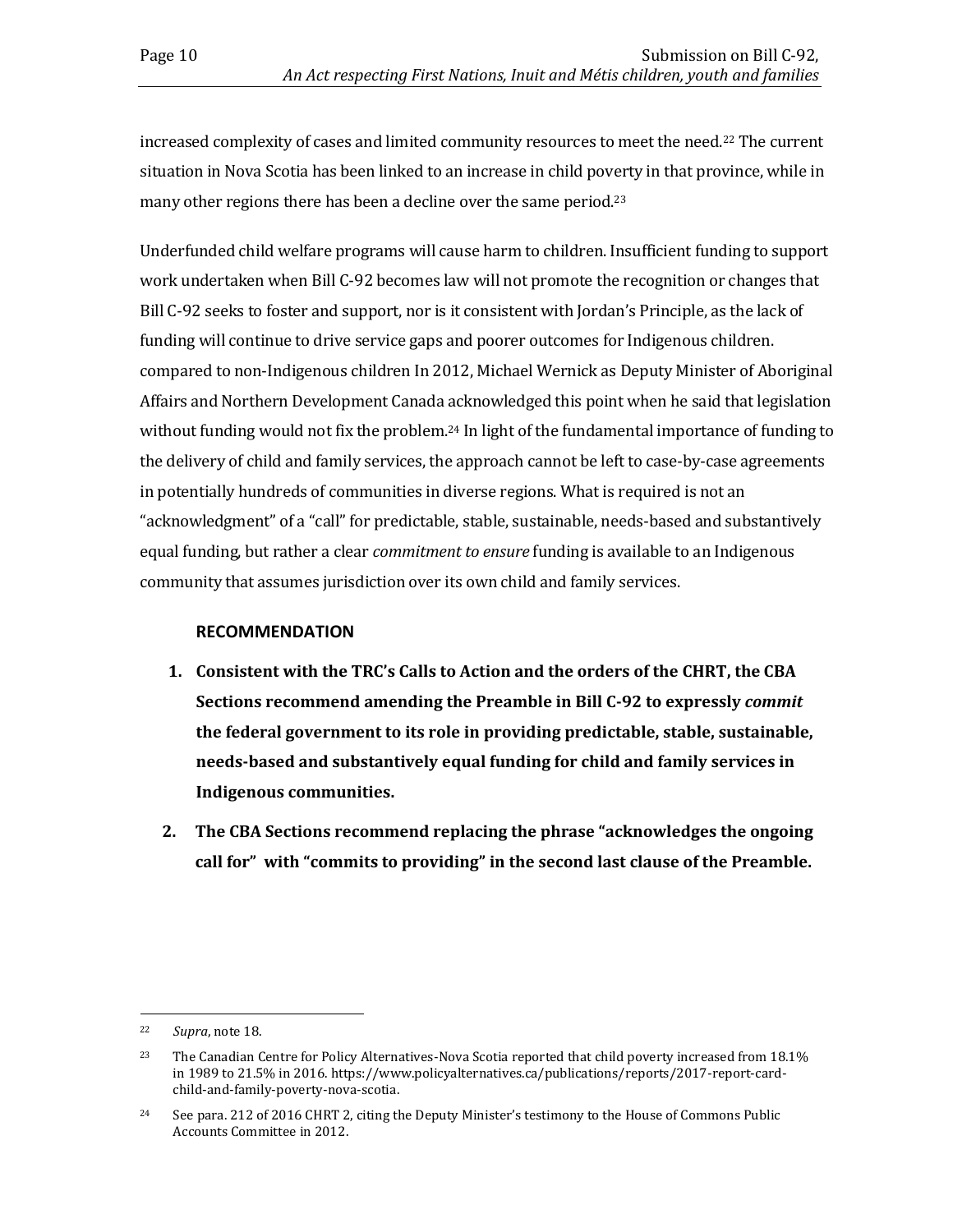increased complexity of cases and limited community resources to meet the need.<sup>22</sup> The current situation in Nova Scotia has been linked to an increase in child poverty in that province, while in many other regions there has been a decline over the same period.<sup>23</sup>

Underfunded child welfare programs will cause harm to children. Insufficient funding to support work undertaken when Bill C-92 becomes law will not promote the recognition or changes that Bill C-92 seeks to foster and support, nor is it consistent with Jordan's Principle, as the lack of funding will continue to drive service gaps and poorer outcomes for Indigenous children. compared to non-Indigenous children In 2012, Michael Wernick as Deputy Minister of Aboriginal Affairs and Northern Development Canada acknowledged this point when he said that legislation without funding would not fix the problem.<sup>24</sup> In light of the fundamental importance of funding to the delivery of child and family services, the approach cannot be left to case-by-case agreements in potentially hundreds of communities in diverse regions. What is required is not an "acknowledgment" of a "call" for predictable, stable, sustainable, needs-based and substantively equal funding, but rather a clear *commitment to ensure* funding is available to an Indigenous community that assumes jurisdiction over its own child and family services.

#### **RECOMMENDATION**

- **1. Consistent with the TRC's Calls to Action and the orders of the CHRT, the CBA Sections recommend amending the Preamble in Bill C-92 to expressly** *commit* **the federal government to its role in providing predictable, stable, sustainable, needs-based and substantively equal funding for child and family services in Indigenous communities.**
- **2. The CBA Sections recommend replacing the phrase "acknowledges the ongoing call for" with "commits to providing" in the second last clause of the Preamble.**

l

<sup>22</sup> *Supra*, note 18.

<sup>&</sup>lt;sup>23</sup> The Canadian Centre for Policy Alternatives-Nova Scotia reported that child poverty increased from 18.1% in 1989 to 21.5% in 2016. https://www.policyalternatives.ca/publications/reports/2017-report-cardchild-and-family-poverty-nova-scotia.

<sup>&</sup>lt;sup>24</sup> See para. 212 of 2016 CHRT 2, citing the Deputy Minister's testimony to the House of Commons Public Accounts Committee in 2012.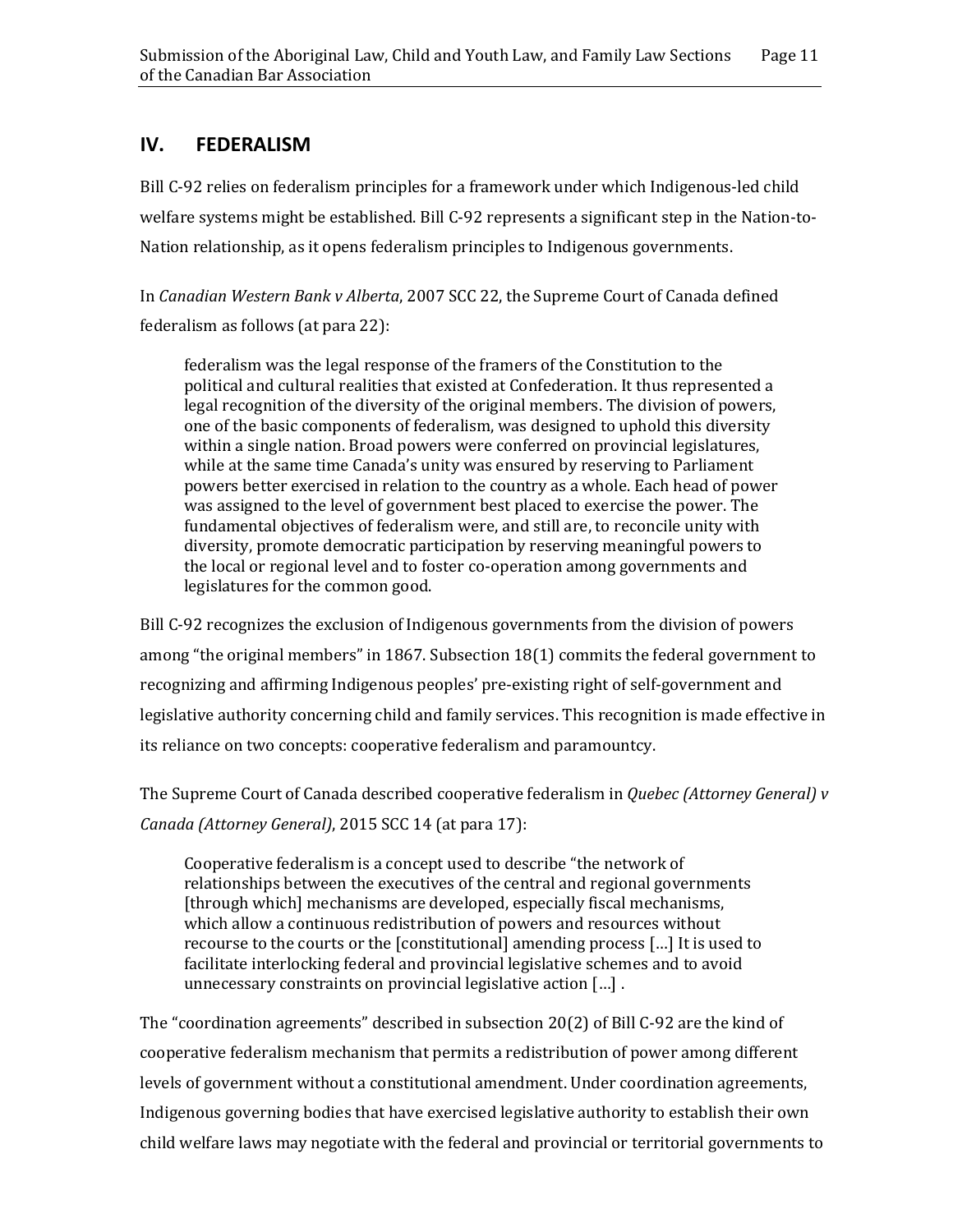## <span id="page-16-0"></span>**IV. FEDERALISM**

Bill C-92 relies on federalism principles for a framework under which Indigenous-led child welfare systems might be established. Bill C-92 represents a significant step in the Nation-to-Nation relationship, as it opens federalism principles to Indigenous governments.

In *Canadian Western Bank v Alberta*, 2007 SCC 22, the Supreme Court of Canada defined federalism as follows (at para 22):

federalism was the legal response of the framers of the Constitution to the political and cultural realities that existed at Confederation. It thus represented a legal recognition of the diversity of the original members. The division of powers, one of the basic components of federalism, was designed to uphold this diversity within a single nation. Broad powers were conferred on provincial legislatures, while at the same time Canada's unity was ensured by reserving to Parliament powers better exercised in relation to the country as a whole. Each head of power was assigned to the level of government best placed to exercise the power. The fundamental objectives of federalism were, and still are, to reconcile unity with diversity, promote democratic participation by reserving meaningful powers to the local or regional level and to foster co-operation among governments and legislatures for the common good.

Bill C-92 recognizes the exclusion of Indigenous governments from the division of powers among "the original members" in 1867. Subsection 18(1) commits the federal government to recognizing and affirming Indigenous peoples' pre-existing right of self-government and legislative authority concerning child and family services. This recognition is made effective in its reliance on two concepts: cooperative federalism and paramountcy.

The Supreme Court of Canada described cooperative federalism in *Quebec (Attorney General) v Canada (Attorney General)*, 2015 SCC 14 (at para 17):

Cooperative federalism is a concept used to describe "the network of relationships between the executives of the central and regional governments [through which] mechanisms are developed, especially fiscal mechanisms, which allow a continuous redistribution of powers and resources without recourse to the courts or the [constitutional] amending process […] It is used to facilitate interlocking federal and provincial legislative schemes and to avoid unnecessary constraints on provincial legislative action […] .

The "coordination agreements" described in subsection 20(2) of Bill C-92 are the kind of cooperative federalism mechanism that permits a redistribution of power among different levels of government without a constitutional amendment. Under coordination agreements, Indigenous governing bodies that have exercised legislative authority to establish their own child welfare laws may negotiate with the federal and provincial or territorial governments to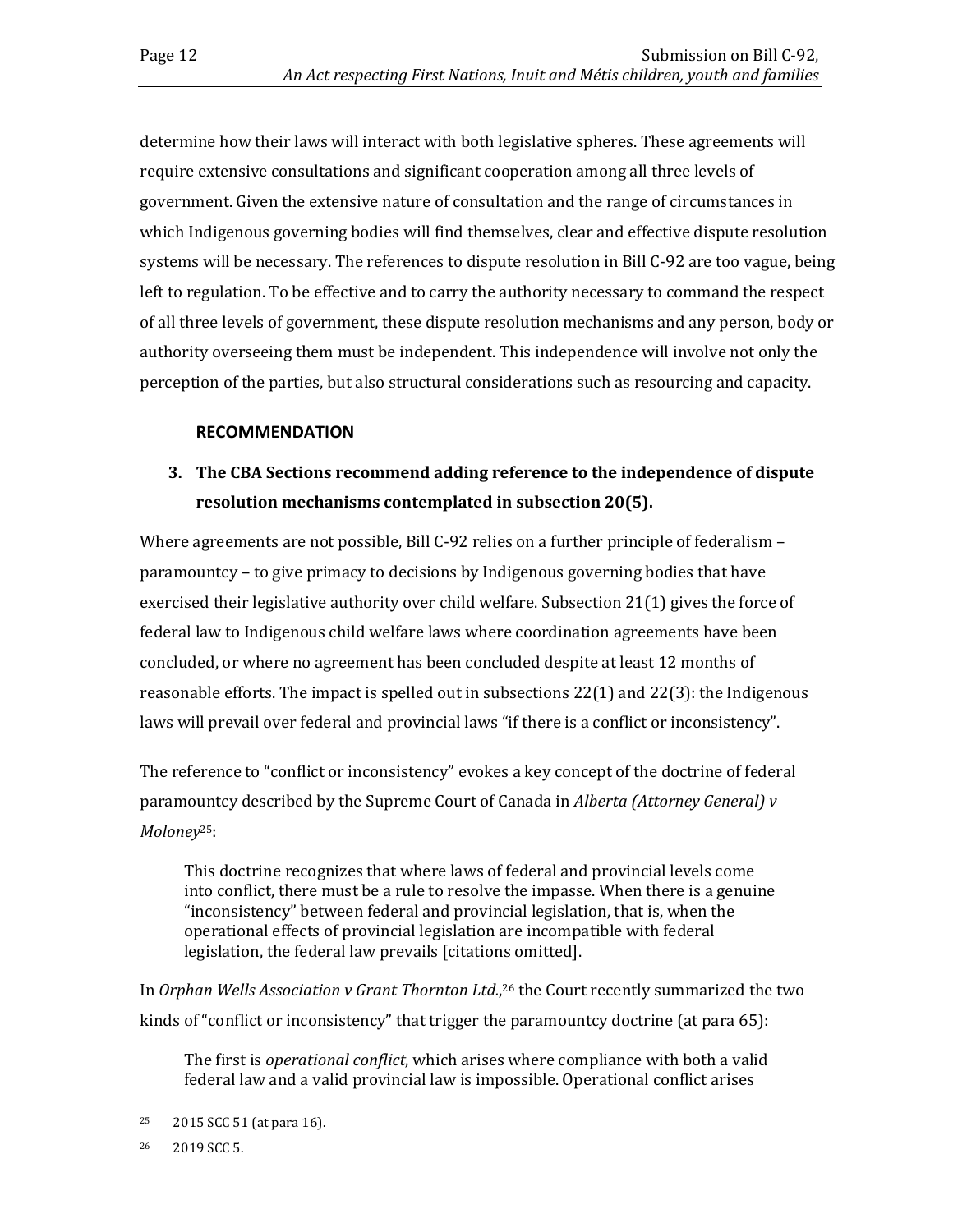determine how their laws will interact with both legislative spheres. These agreements will require extensive consultations and significant cooperation among all three levels of government. Given the extensive nature of consultation and the range of circumstances in which Indigenous governing bodies will find themselves, clear and effective dispute resolution systems will be necessary. The references to dispute resolution in Bill C-92 are too vague, being left to regulation. To be effective and to carry the authority necessary to command the respect of all three levels of government, these dispute resolution mechanisms and any person, body or authority overseeing them must be independent. This independence will involve not only the perception of the parties, but also structural considerations such as resourcing and capacity.

#### **RECOMMENDATION**

## **3. The CBA Sections recommend adding reference to the independence of dispute resolution mechanisms contemplated in subsection 20(5).**

Where agreements are not possible, Bill C-92 relies on a further principle of federalism – paramountcy – to give primacy to decisions by Indigenous governing bodies that have exercised their legislative authority over child welfare. Subsection 21(1) gives the force of federal law to Indigenous child welfare laws where coordination agreements have been concluded, or where no agreement has been concluded despite at least 12 months of reasonable efforts. The impact is spelled out in subsections 22(1) and 22(3): the Indigenous laws will prevail over federal and provincial laws "if there is a conflict or inconsistency".

The reference to "conflict or inconsistency" evokes a key concept of the doctrine of federal paramountcy described by the Supreme Court of Canada in *Alberta (Attorney General) v Moloney*25:

This doctrine recognizes that where laws of federal and provincial levels come into conflict, there must be a rule to resolve the impasse. When there is a genuine "inconsistency" between federal and provincial legislation, that is, when the operational effects of provincial legislation are incompatible with federal legislation, the federal law prevails [citations omitted].

In *Orphan Wells Association v Grant Thornton Ltd.*, <sup>26</sup> the Court recently summarized the two kinds of "conflict or inconsistency" that trigger the paramountcy doctrine (at para 65):

The first is *operational conflict*, which arises where compliance with both a valid federal law and a valid provincial law is impossible. Operational conflict arises

 $\overline{a}$ <sup>25</sup> 2015 SCC 51 (at para 16).

<sup>26</sup> 2019 SCC 5.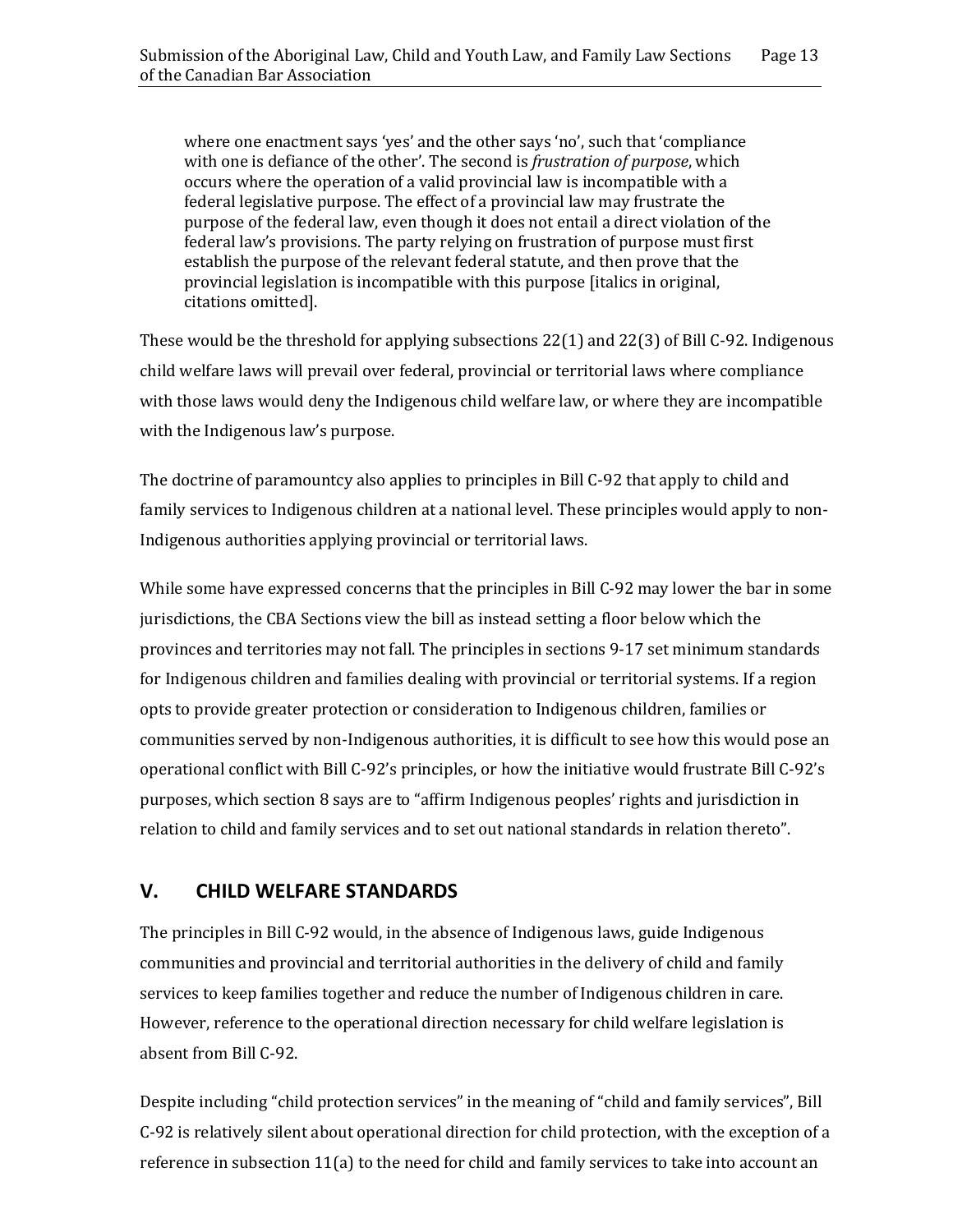where one enactment says 'yes' and the other says 'no', such that 'compliance with one is defiance of the other'. The second is *frustration of purpose*, which occurs where the operation of a valid provincial law is incompatible with a federal legislative purpose. The effect of a provincial law may frustrate the purpose of the federal law, even though it does not entail a direct violation of the federal law's provisions. The party relying on frustration of purpose must first establish the purpose of the relevant federal statute, and then prove that the provincial legislation is incompatible with this purpose [italics in original, citations omitted].

These would be the threshold for applying subsections 22(1) and 22(3) of Bill C-92. Indigenous child welfare laws will prevail over federal, provincial or territorial laws where compliance with those laws would deny the Indigenous child welfare law, or where they are incompatible with the Indigenous law's purpose.

The doctrine of paramountcy also applies to principles in Bill C-92 that apply to child and family services to Indigenous children at a national level. These principles would apply to non-Indigenous authorities applying provincial or territorial laws.

While some have expressed concerns that the principles in Bill C-92 may lower the bar in some jurisdictions, the CBA Sections view the bill as instead setting a floor below which the provinces and territories may not fall. The principles in sections 9-17 set minimum standards for Indigenous children and families dealing with provincial or territorial systems. If a region opts to provide greater protection or consideration to Indigenous children, families or communities served by non-Indigenous authorities, it is difficult to see how this would pose an operational conflict with Bill C-92's principles, or how the initiative would frustrate Bill C-92's purposes, which section 8 says are to "affirm Indigenous peoples' rights and jurisdiction in relation to child and family services and to set out national standards in relation thereto".

## <span id="page-18-0"></span>**V. CHILD WELFARE STANDARDS**

The principles in Bill C-92 would, in the absence of Indigenous laws, guide Indigenous communities and provincial and territorial authorities in the delivery of child and family services to keep families together and reduce the number of Indigenous children in care. However, reference to the operational direction necessary for child welfare legislation is absent from Bill C-92.

Despite including "child protection services" in the meaning of "child and family services", Bill C-92 is relatively silent about operational direction for child protection, with the exception of a reference in subsection 11(a) to the need for child and family services to take into account an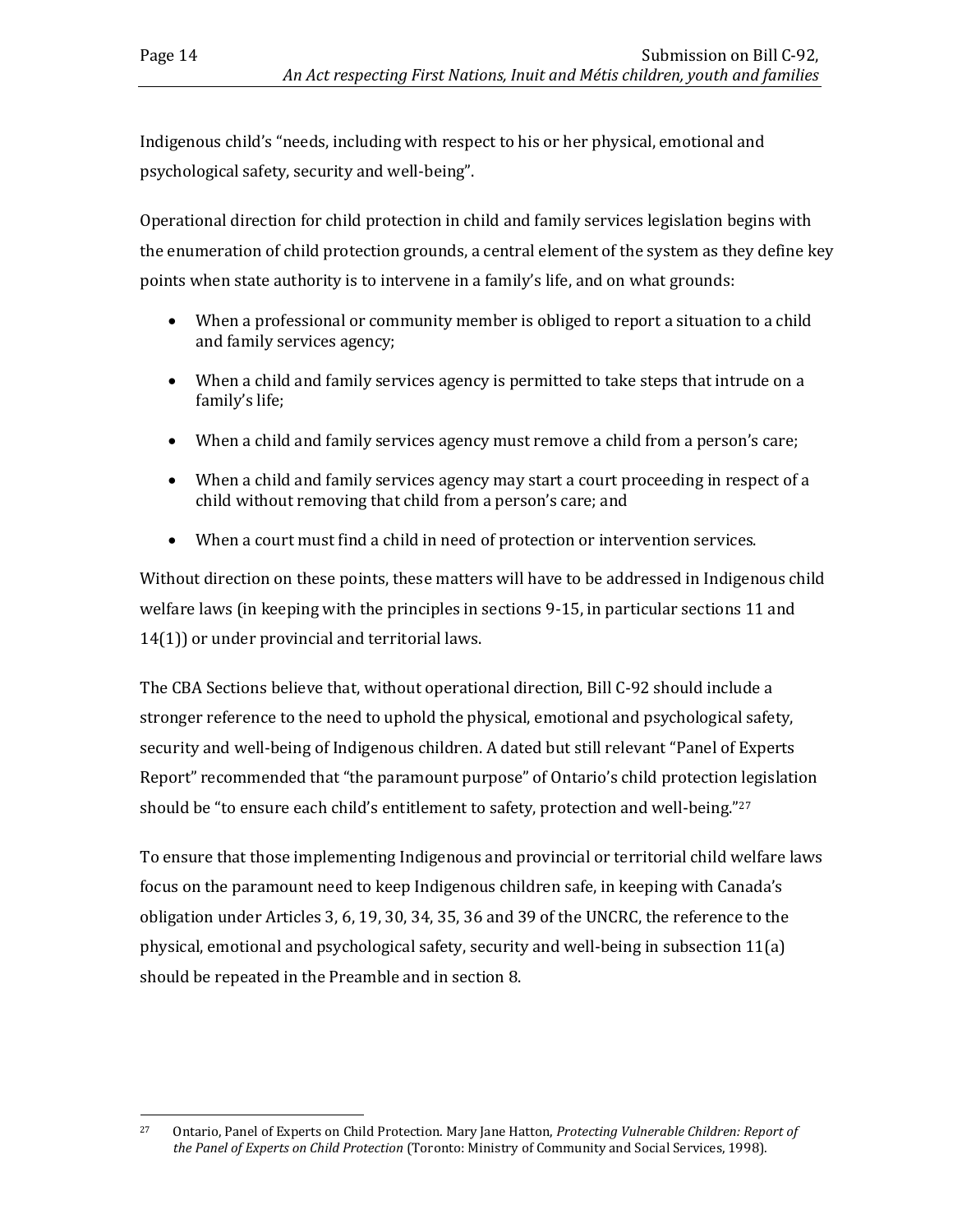Indigenous child's "needs, including with respect to his or her physical, emotional and psychological safety, security and well-being".

Operational direction for child protection in child and family services legislation begins with the enumeration of child protection grounds, a central element of the system as they define key points when state authority is to intervene in a family's life, and on what grounds:

- When a professional or community member is obliged to report a situation to a child and family services agency;
- When a child and family services agency is permitted to take steps that intrude on a family's life;
- When a child and family services agency must remove a child from a person's care;
- When a child and family services agency may start a court proceeding in respect of a child without removing that child from a person's care; and
- When a court must find a child in need of protection or intervention services.

Without direction on these points, these matters will have to be addressed in Indigenous child welfare laws (in keeping with the principles in sections 9-15, in particular sections 11 and 14(1)) or under provincial and territorial laws.

The CBA Sections believe that, without operational direction, Bill C-92 should include a stronger reference to the need to uphold the physical, emotional and psychological safety, security and well-being of Indigenous children. A dated but still relevant "Panel of Experts Report" recommended that "the paramount purpose" of Ontario's child protection legislation should be "to ensure each child's entitlement to safety, protection and well-being."<sup>27</sup>

To ensure that those implementing Indigenous and provincial or territorial child welfare laws focus on the paramount need to keep Indigenous children safe, in keeping with Canada's obligation under Articles 3, 6, 19, 30, 34, 35, 36 and 39 of the UNCRC, the reference to the physical, emotional and psychological safety, security and well-being in subsection 11(a) should be repeated in the Preamble and in section 8.

 $\overline{a}$ <sup>27</sup> Ontario, Panel of Experts on Child Protection. Mary Jane Hatton, *Protecting Vulnerable Children: Report of the Panel of Experts on Child Protection* (Toronto: Ministry of Community and Social Services, 1998).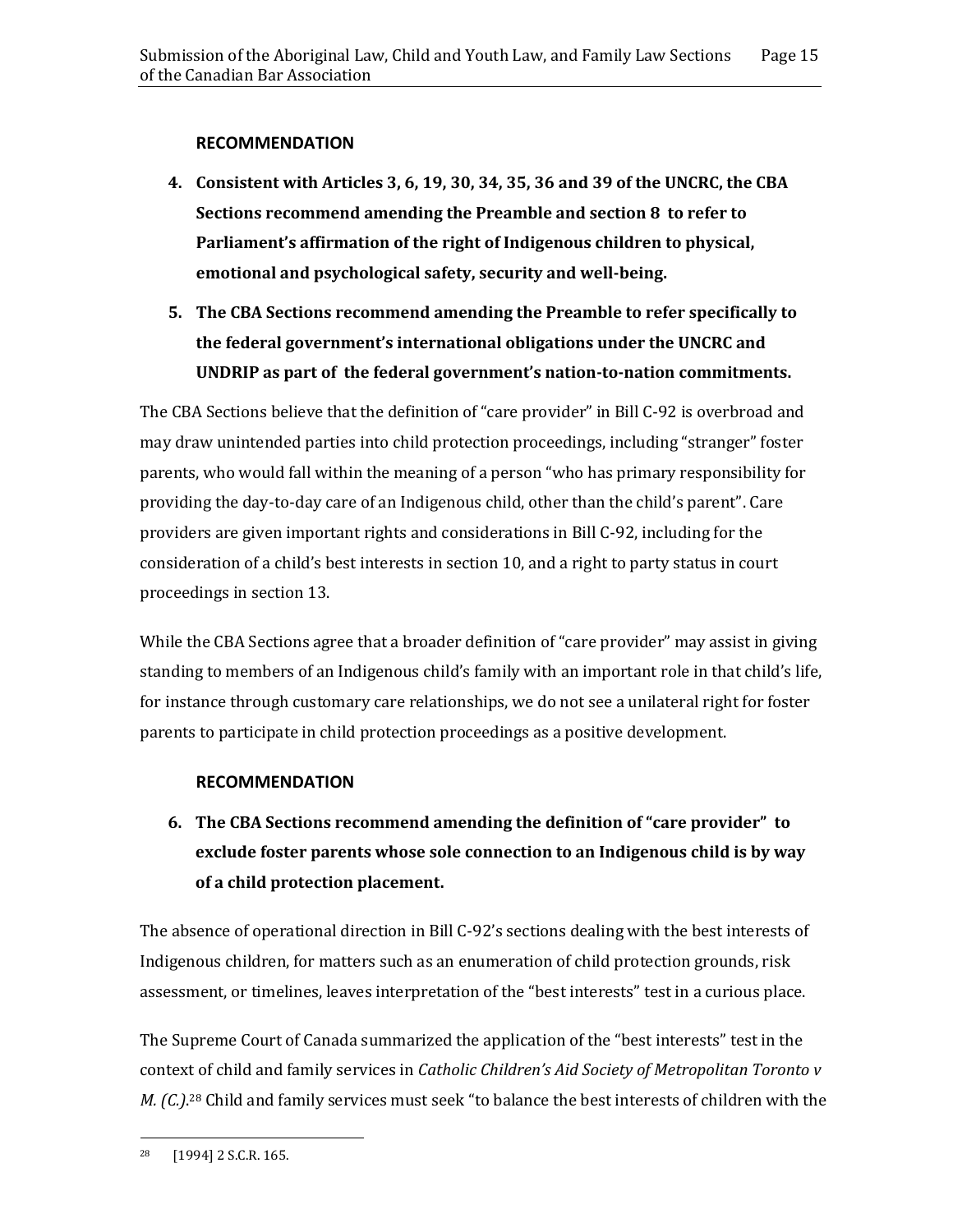#### **RECOMMENDATION**

- **4. Consistent with Articles 3, 6, 19, 30, 34, 35, 36 and 39 of the UNCRC, the CBA Sections recommend amending the Preamble and section 8 to refer to Parliament's affirmation of the right of Indigenous children to physical, emotional and psychological safety, security and well-being.**
- **5. The CBA Sections recommend amending the Preamble to refer specifically to the federal government's international obligations under the UNCRC and UNDRIP as part of the federal government's nation-to-nation commitments.**

The CBA Sections believe that the definition of "care provider" in Bill C-92 is overbroad and may draw unintended parties into child protection proceedings, including "stranger" foster parents, who would fall within the meaning of a person "who has primary responsibility for providing the day-to-day care of an Indigenous child, other than the child's parent". Care providers are given important rights and considerations in Bill C-92, including for the consideration of a child's best interests in section 10, and a right to party status in court proceedings in section 13.

While the CBA Sections agree that a broader definition of "care provider" may assist in giving standing to members of an Indigenous child's family with an important role in that child's life, for instance through customary care relationships, we do not see a unilateral right for foster parents to participate in child protection proceedings as a positive development.

#### **RECOMMENDATION**

**6. The CBA Sections recommend amending the definition of "care provider" to exclude foster parents whose sole connection to an Indigenous child is by way of a child protection placement.** 

The absence of operational direction in Bill C-92's sections dealing with the best interests of Indigenous children, for matters such as an enumeration of child protection grounds, risk assessment, or timelines, leaves interpretation of the "best interests" test in a curious place.

The Supreme Court of Canada summarized the application of the "best interests" test in the context of child and family services in *Catholic Children's Aid Society of Metropolitan Toronto v M. (C.)*. <sup>28</sup> Child and family services must seek "to balance the best interests of children with the

 $\overline{a}$ 

<sup>28</sup> [1994] 2 S.C.R. 165.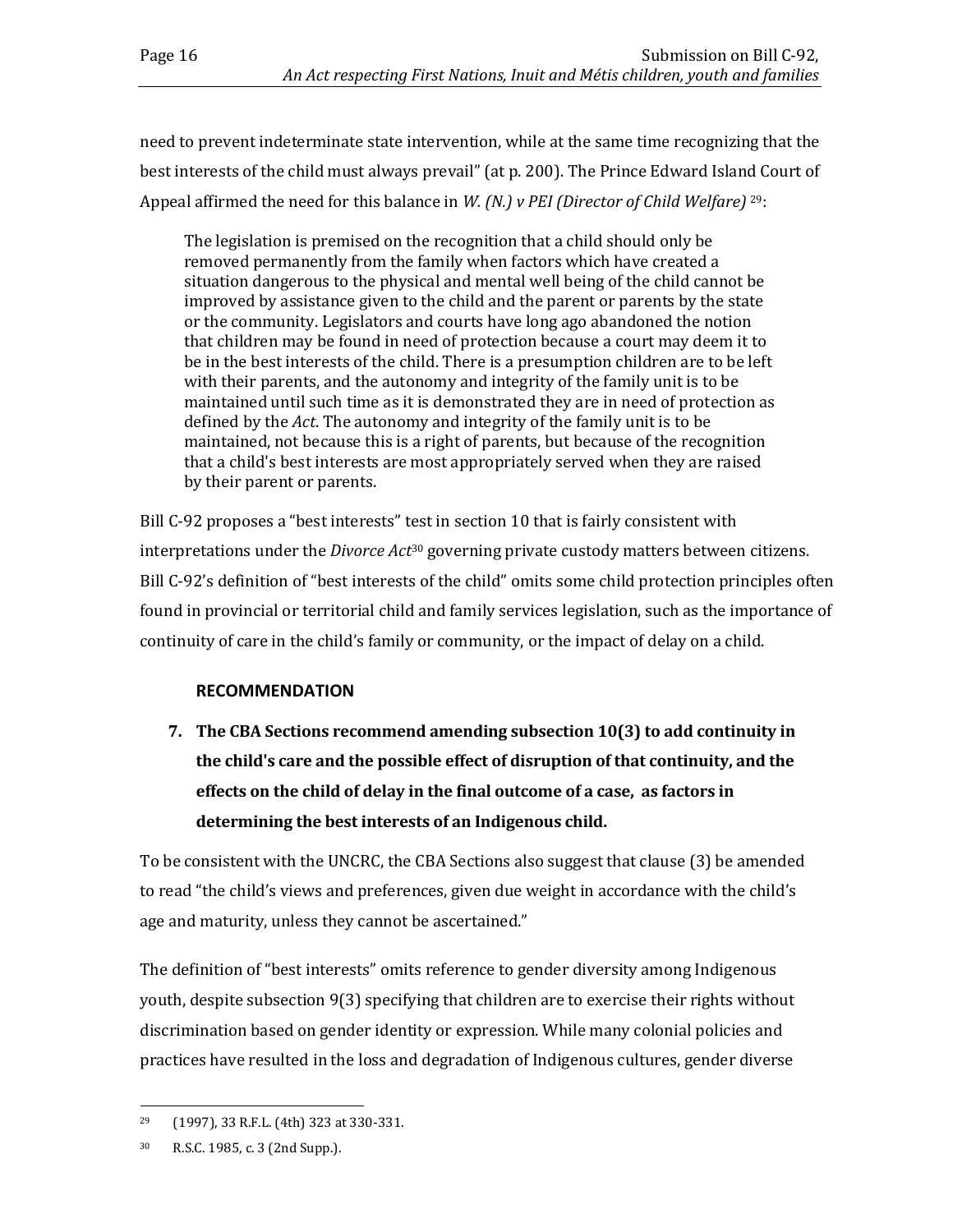need to prevent indeterminate state intervention, while at the same time recognizing that the best interests of the child must always prevail" (at p. 200). The Prince Edward Island Court of Appeal affirmed the need for this balance in *W. (N.) v PEI (Director of Child Welfare)* <sup>29</sup>:

The legislation is premised on the recognition that a child should only be removed permanently from the family when factors which have created a situation dangerous to the physical and mental well being of the child cannot be improved by assistance given to the child and the parent or parents by the state or the community. Legislators and courts have long ago abandoned the notion that children may be found in need of protection because a court may deem it to be in the best interests of the child. There is a presumption children are to be left with their parents, and the autonomy and integrity of the family unit is to be maintained until such time as it is demonstrated they are in need of protection as defined by the *Act*. The autonomy and integrity of the family unit is to be maintained, not because this is a right of parents, but because of the recognition that a child's best interests are most appropriately served when they are raised by their parent or parents.

Bill C-92 proposes a "best interests" test in section 10 that is fairly consistent with interpretations under the *Divorce Act*<sup>30</sup> governing private custody matters between citizens. Bill C-92's definition of "best interests of the child" omits some child protection principles often found in provincial or territorial child and family services legislation, such as the importance of continuity of care in the child's family or community, or the impact of delay on a child.

## **RECOMMENDATION**

**7. The CBA Sections recommend amending subsection 10(3) to add continuity in the child's care and the possible effect of disruption of that continuity, and the effects on the child of delay in the final outcome of a case, as factors in determining the best interests of an Indigenous child.**

To be consistent with the UNCRC, the CBA Sections also suggest that clause (3) be amended to read "the child's views and preferences, given due weight in accordance with the child's age and maturity, unless they cannot be ascertained."

The definition of "best interests" omits reference to gender diversity among Indigenous youth, despite subsection 9(3) specifying that children are to exercise their rights without discrimination based on gender identity or expression. While many colonial policies and practices have resulted in the loss and degradation of Indigenous cultures, gender diverse

 $\overline{a}$ 

<sup>29</sup> (1997), 33 R.F.L. (4th) 323 at 330-331.

<sup>30</sup> R.S.C. 1985, c. 3 (2nd Supp.).